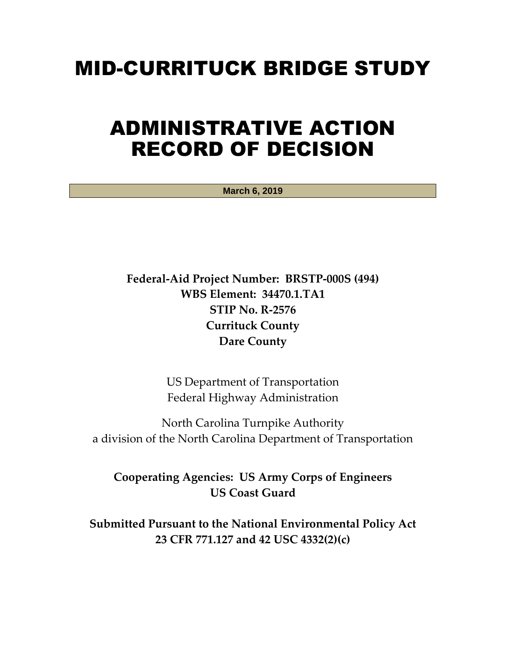# MID-CURRITUCK BRIDGE STUDY

# ADMINISTRATIVE ACTION RECORD OF DECISION

**March 6, 2019**

**Federal-Aid Project Number: BRSTP-000S (494) WBS Element: 34470.1.TA1 STIP No. R-2576 Currituck County Dare County**

> US Department of Transportation Federal Highway Administration

North Carolina Turnpike Authority a division of the North Carolina Department of Transportation

**Cooperating Agencies: US Army Corps of Engineers US Coast Guard**

**Submitted Pursuant to the National Environmental Policy Act 23 CFR 771.127 and 42 USC 4332(2)(c)**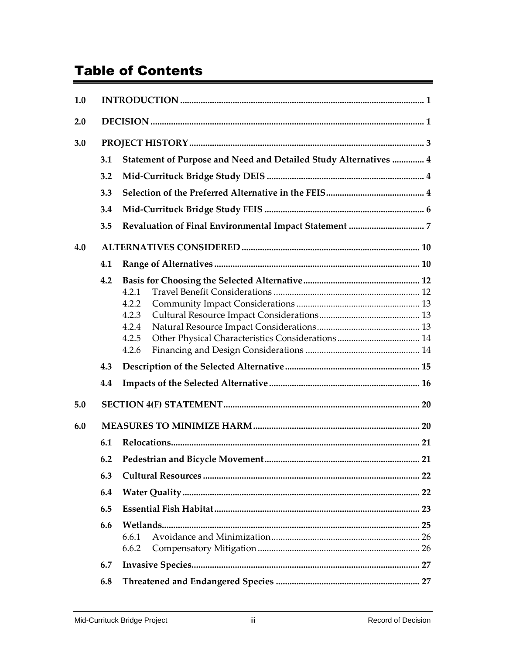# Table of Contents

| 1.0 |     |                                                                  |    |  |  |
|-----|-----|------------------------------------------------------------------|----|--|--|
| 2.0 |     |                                                                  |    |  |  |
| 3.0 |     |                                                                  |    |  |  |
|     | 3.1 | Statement of Purpose and Need and Detailed Study Alternatives  4 |    |  |  |
|     | 3.2 |                                                                  |    |  |  |
|     | 3.3 |                                                                  |    |  |  |
|     | 3.4 |                                                                  |    |  |  |
|     | 3.5 |                                                                  |    |  |  |
| 4.0 |     |                                                                  |    |  |  |
|     | 4.1 |                                                                  |    |  |  |
|     | 4.2 | 4.2.1                                                            |    |  |  |
|     |     | 4.2.2                                                            |    |  |  |
|     |     | 4.2.3<br>4.2.4                                                   |    |  |  |
|     |     | 4.2.5                                                            |    |  |  |
|     |     | 4.2.6                                                            |    |  |  |
|     | 4.3 |                                                                  |    |  |  |
|     | 4.4 |                                                                  |    |  |  |
| 5.0 |     |                                                                  |    |  |  |
| 6.0 |     |                                                                  |    |  |  |
|     | 6.1 |                                                                  |    |  |  |
|     |     |                                                                  | 21 |  |  |
|     | 6.3 |                                                                  |    |  |  |
|     | 6.4 |                                                                  |    |  |  |
|     | 6.5 |                                                                  |    |  |  |
|     | 6.6 |                                                                  |    |  |  |
|     |     | 6.6.1                                                            |    |  |  |
|     |     | 6.6.2                                                            |    |  |  |
|     | 6.7 |                                                                  |    |  |  |
|     | 6.8 |                                                                  |    |  |  |

۰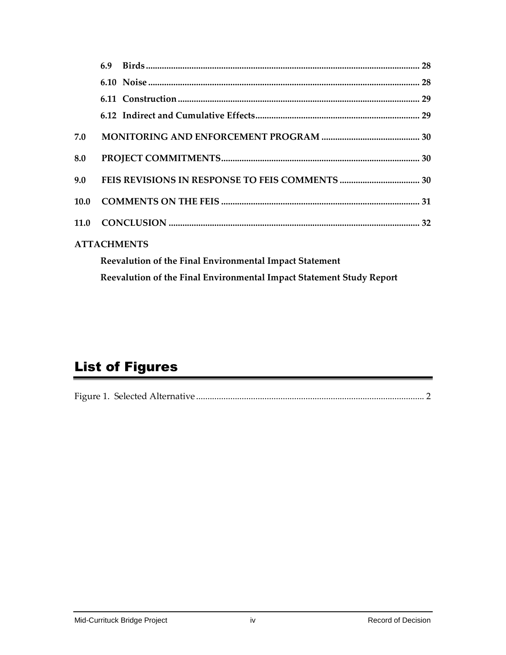|      | 6.9                                                                  |  |  |  |
|------|----------------------------------------------------------------------|--|--|--|
|      |                                                                      |  |  |  |
|      |                                                                      |  |  |  |
|      |                                                                      |  |  |  |
| 7.0  |                                                                      |  |  |  |
| 8.0  |                                                                      |  |  |  |
| 9.0  |                                                                      |  |  |  |
| 10.0 |                                                                      |  |  |  |
|      |                                                                      |  |  |  |
|      | <b>ATTACHMENTS</b>                                                   |  |  |  |
|      | Reevalution of the Final Environmental Impact Statement              |  |  |  |
|      | Reevalution of the Final Environmental Impact Statement Study Report |  |  |  |

# List of Figures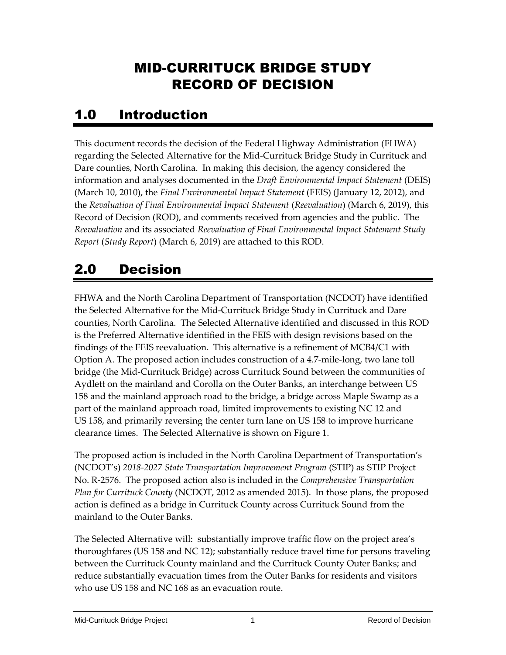# MID-CURRITUCK BRIDGE STUDY RECORD OF DECISION

# 1.0 Introduction

This document records the decision of the Federal Highway Administration (FHWA) regarding the Selected Alternative for the Mid-Currituck Bridge Study in Currituck and Dare counties, North Carolina. In making this decision, the agency considered the information and analyses documented in the *Draft Environmental Impact Statement* (DEIS) (March 10, 2010), the *Final Environmental Impact Statement* (FEIS) (January 12, 2012), and the *Revaluation of Final Environmental Impact Statement* (*Reevaluation*) (March 6, 2019), this Record of Decision (ROD), and comments received from agencies and the public. The *Reevaluation* and its associated *Reevaluation of Final Environmental Impact Statement Study Report* (*Study Report*) (March 6, 2019) are attached to this ROD.

# <span id="page-4-0"></span>2.0 Decision

FHWA and the North Carolina Department of Transportation (NCDOT) have identified the Selected Alternative for the Mid-Currituck Bridge Study in Currituck and Dare counties, North Carolina. The Selected Alternative identified and discussed in this ROD is the Preferred Alternative identified in the FEIS with design revisions based on the findings of the FEIS reevaluation. This alternative is a refinement of MCB4/C1 with Option A. The proposed action includes construction of a 4.7-mile-long, two lane toll bridge (the Mid-Currituck Bridge) across Currituck Sound between the communities of Aydlett on the mainland and Corolla on the Outer Banks, an interchange between US 158 and the mainland approach road to the bridge, a bridge across Maple Swamp as a part of the mainland approach road, limited improvements to existing NC 12 and US 158, and primarily reversing the center turn lane on US 158 to improve hurricane clearance times. The Selected Alternative is shown on [Figure 1.](#page-5-0)

The proposed action is included in the North Carolina Department of Transportation's (NCDOT's) *2018-2027 State Transportation Improvement Program* (STIP) as STIP Project No. R-2576. The proposed action also is included in the *Comprehensive Transportation Plan for Currituck County* (NCDOT, 2012 as amended 2015). In those plans, the proposed action is defined as a bridge in Currituck County across Currituck Sound from the mainland to the Outer Banks.

The Selected Alternative will: substantially improve traffic flow on the project area's thoroughfares (US 158 and NC 12); substantially reduce travel time for persons traveling between the Currituck County mainland and the Currituck County Outer Banks; and reduce substantially evacuation times from the Outer Banks for residents and visitors who use US 158 and NC 168 as an evacuation route.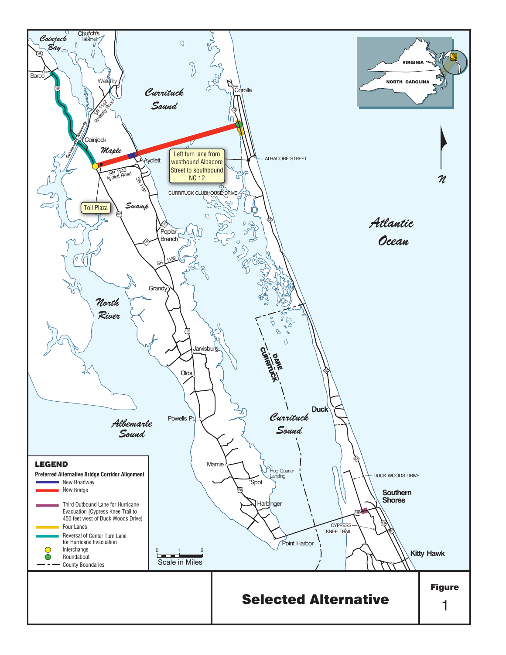<span id="page-5-0"></span>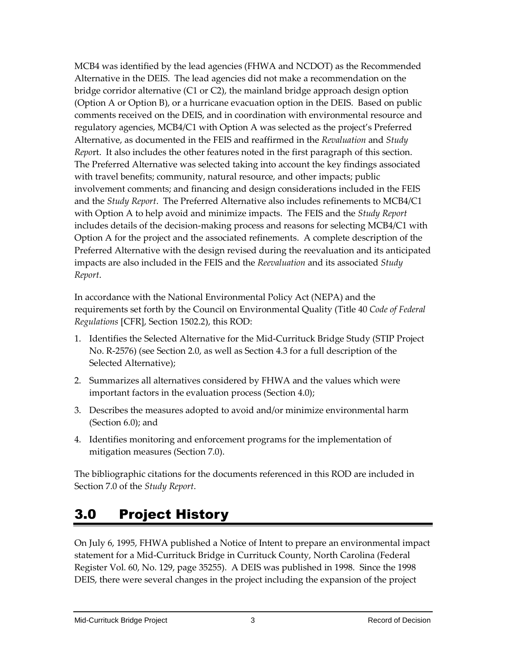MCB4 was identified by the lead agencies (FHWA and NCDOT) as the Recommended Alternative in the DEIS. The lead agencies did not make a recommendation on the bridge corridor alternative (C1 or C2), the mainland bridge approach design option (Option A or Option B), or a hurricane evacuation option in the DEIS. Based on public comments received on the DEIS, and in coordination with environmental resource and regulatory agencies, MCB4/C1 with Option A was selected as the project's Preferred Alternative, as documented in the FEIS and reaffirmed in the *Revaluation* and *Study Repo*rt. It also includes the other features noted in the first paragraph of this section. The Preferred Alternative was selected taking into account the key findings associated with travel benefits; community, natural resource, and other impacts; public involvement comments; and financing and design considerations included in the FEIS and the *Study Report*. The Preferred Alternative also includes refinements to MCB4/C1 with Option A to help avoid and minimize impacts. The FEIS and the *Study Report* includes details of the decision-making process and reasons for selecting MCB4/C1 with Option A for the project and the associated refinements. A complete description of the Preferred Alternative with the design revised during the reevaluation and its anticipated impacts are also included in the FEIS and the *Reevaluation* and its associated *Study Report*.

In accordance with the National Environmental Policy Act (NEPA) and the requirements set forth by the Council on Environmental Quality (Title 40 *Code of Federal Regulations* [CFR], Section 1502.2), this ROD:

- 1. Identifies the Selected Alternative for the Mid-Currituck Bridge Study (STIP Project No. R-2576) (see Section [2.0,](#page-4-0) as well as Section [4.3](#page-18-0) for a full description of the Selected Alternative);
- 2. Summarizes all alternatives considered by FHWA and the values which were important factors in the evaluation process (Section [4.0\)](#page-13-0);
- 3. Describes the measures adopted to avoid and/or minimize environmental harm (Section [6.0\)](#page-23-0); and
- 4. Identifies monitoring and enforcement programs for the implementation of mitigation measures (Section [7.0\)](#page-33-0).

The bibliographic citations for the documents referenced in this ROD are included in Section 7.0 of the *Study Report*.

# 3.0 Project History

On July 6, 1995, FHWA published a Notice of Intent to prepare an environmental impact statement for a Mid-Currituck Bridge in Currituck County, North Carolina (Federal Register Vol. 60, No. 129, page 35255). A DEIS was published in 1998. Since the 1998 DEIS, there were several changes in the project including the expansion of the project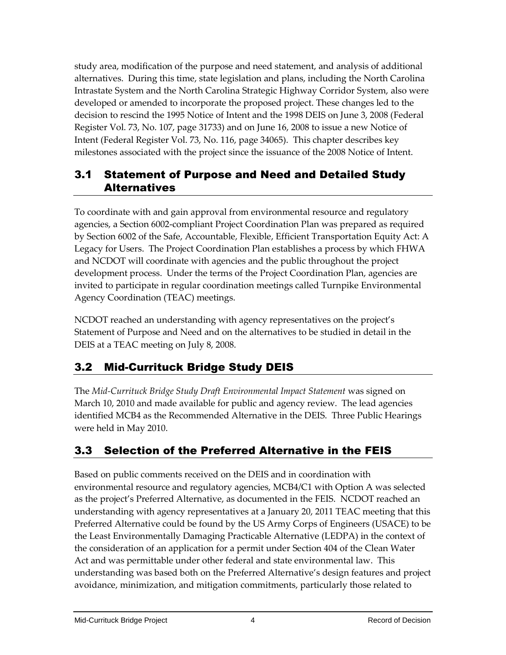study area, modification of the purpose and need statement, and analysis of additional alternatives. During this time, state legislation and plans, including the North Carolina Intrastate System and the North Carolina Strategic Highway Corridor System, also were developed or amended to incorporate the proposed project. These changes led to the decision to rescind the 1995 Notice of Intent and the 1998 DEIS on June 3, 2008 (Federal Register Vol. 73, No. 107, page 31733) and on June 16, 2008 to issue a new Notice of Intent (Federal Register Vol. 73, No. 116, page 34065). This chapter describes key milestones associated with the project since the issuance of the 2008 Notice of Intent.

## 3.1 Statement of Purpose and Need and Detailed Study Alternatives

To coordinate with and gain approval from environmental resource and regulatory agencies, a Section 6002-compliant Project Coordination Plan was prepared as required by Section 6002 of the Safe, Accountable, Flexible, Efficient Transportation Equity Act: A Legacy for Users. The Project Coordination Plan establishes a process by which FHWA and NCDOT will coordinate with agencies and the public throughout the project development process. Under the terms of the Project Coordination Plan, agencies are invited to participate in regular coordination meetings called Turnpike Environmental Agency Coordination (TEAC) meetings.

NCDOT reached an understanding with agency representatives on the project's Statement of Purpose and Need and on the alternatives to be studied in detail in the DEIS at a TEAC meeting on July 8, 2008.

# 3.2 Mid-Currituck Bridge Study DEIS

The *Mid-Currituck Bridge Study Draft Environmental Impact Statement* was signed on March 10, 2010 and made available for public and agency review. The lead agencies identified MCB4 as the Recommended Alternative in the DEIS. Three Public Hearings were held in May 2010.

# <span id="page-7-0"></span>3.3 Selection of the Preferred Alternative in the FEIS

Based on public comments received on the DEIS and in coordination with environmental resource and regulatory agencies, MCB4/C1 with Option A was selected as the project's Preferred Alternative, as documented in the FEIS. NCDOT reached an understanding with agency representatives at a January 20, 2011 TEAC meeting that this Preferred Alternative could be found by the US Army Corps of Engineers (USACE) to be the Least Environmentally Damaging Practicable Alternative (LEDPA) in the context of the consideration of an application for a permit under Section 404 of the Clean Water Act and was permittable under other federal and state environmental law. This understanding was based both on the Preferred Alternative's design features and project avoidance, minimization, and mitigation commitments, particularly those related to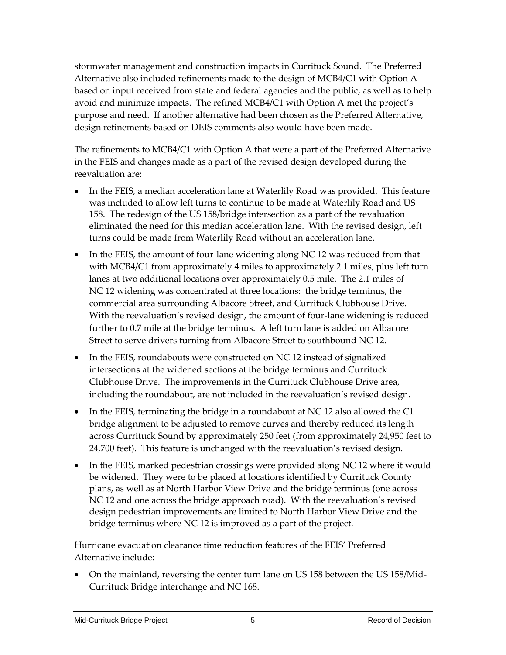stormwater management and construction impacts in Currituck Sound. The Preferred Alternative also included refinements made to the design of MCB4/C1 with Option A based on input received from state and federal agencies and the public, as well as to help avoid and minimize impacts. The refined MCB4/C1 with Option A met the project's purpose and need. If another alternative had been chosen as the Preferred Alternative, design refinements based on DEIS comments also would have been made.

The refinements to MCB4/C1 with Option A that were a part of the Preferred Alternative in the FEIS and changes made as a part of the revised design developed during the reevaluation are:

- In the FEIS, a median acceleration lane at Waterlily Road was provided. This feature was included to allow left turns to continue to be made at Waterlily Road and US 158. The redesign of the US 158/bridge intersection as a part of the revaluation eliminated the need for this median acceleration lane. With the revised design, left turns could be made from Waterlily Road without an acceleration lane.
- In the FEIS, the amount of four-lane widening along NC 12 was reduced from that with MCB4/C1 from approximately 4 miles to approximately 2.1 miles, plus left turn lanes at two additional locations over approximately 0.5 mile. The 2.1 miles of NC 12 widening was concentrated at three locations: the bridge terminus, the commercial area surrounding Albacore Street, and Currituck Clubhouse Drive. With the reevaluation's revised design, the amount of four-lane widening is reduced further to 0.7 mile at the bridge terminus. A left turn lane is added on Albacore Street to serve drivers turning from Albacore Street to southbound NC 12.
- In the FEIS, roundabouts were constructed on NC 12 instead of signalized intersections at the widened sections at the bridge terminus and Currituck Clubhouse Drive. The improvements in the Currituck Clubhouse Drive area, including the roundabout, are not included in the reevaluation's revised design.
- In the FEIS, terminating the bridge in a roundabout at NC 12 also allowed the C1 bridge alignment to be adjusted to remove curves and thereby reduced its length across Currituck Sound by approximately 250 feet (from approximately 24,950 feet to 24,700 feet). This feature is unchanged with the reevaluation's revised design.
- In the FEIS, marked pedestrian crossings were provided along NC 12 where it would be widened. They were to be placed at locations identified by Currituck County plans, as well as at North Harbor View Drive and the bridge terminus (one across NC 12 and one across the bridge approach road). With the reevaluation's revised design pedestrian improvements are limited to North Harbor View Drive and the bridge terminus where NC 12 is improved as a part of the project.

Hurricane evacuation clearance time reduction features of the FEIS' Preferred Alternative include:

• On the mainland, reversing the center turn lane on US 158 between the US 158/Mid-Currituck Bridge interchange and NC 168.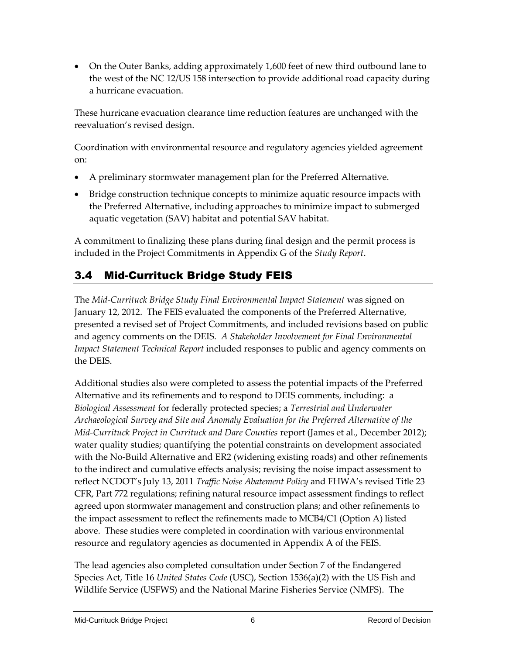• On the Outer Banks, adding approximately 1,600 feet of new third outbound lane to the west of the NC 12/US 158 intersection to provide additional road capacity during a hurricane evacuation.

These hurricane evacuation clearance time reduction features are unchanged with the reevaluation's revised design.

Coordination with environmental resource and regulatory agencies yielded agreement on:

- A preliminary stormwater management plan for the Preferred Alternative.
- Bridge construction technique concepts to minimize aquatic resource impacts with the Preferred Alternative, including approaches to minimize impact to submerged aquatic vegetation (SAV) habitat and potential SAV habitat.

A commitment to finalizing these plans during final design and the permit process is included in the Project Commitments in Appendix G of the *Study Report*.

# <span id="page-9-0"></span>3.4 Mid-Currituck Bridge Study FEIS

The *Mid-Currituck Bridge Study Final Environmental Impact Statement* was signed on January 12, 2012. The FEIS evaluated the components of the Preferred Alternative, presented a revised set of Project Commitments, and included revisions based on public and agency comments on the DEIS. *A Stakeholder Involvement for Final Environmental Impact Statement Technical Report* included responses to public and agency comments on the DEIS.

Additional studies also were completed to assess the potential impacts of the Preferred Alternative and its refinements and to respond to DEIS comments, including: a *Biological Assessment* for federally protected species; a *Terrestrial and Underwater Archaeological Survey and Site and Anomaly Evaluation for the Preferred Alternative of the Mid-Currituck Project in Currituck and Dare Counties* report (James et al., December 2012); water quality studies; quantifying the potential constraints on development associated with the No-Build Alternative and ER2 (widening existing roads) and other refinements to the indirect and cumulative effects analysis; revising the noise impact assessment to reflect NCDOT's July 13, 2011 *Traffic Noise Abatement Policy* and FHWA's revised Title 23 CFR, Part 772 regulations; refining natural resource impact assessment findings to reflect agreed upon stormwater management and construction plans; and other refinements to the impact assessment to reflect the refinements made to MCB4/C1 (Option A) listed above. These studies were completed in coordination with various environmental resource and regulatory agencies as documented in Appendix A of the FEIS.

The lead agencies also completed consultation under Section 7 of the Endangered Species Act, Title 16 *United States Code* (USC), Section 1536(a)(2) with the US Fish and Wildlife Service (USFWS) and the National Marine Fisheries Service (NMFS). The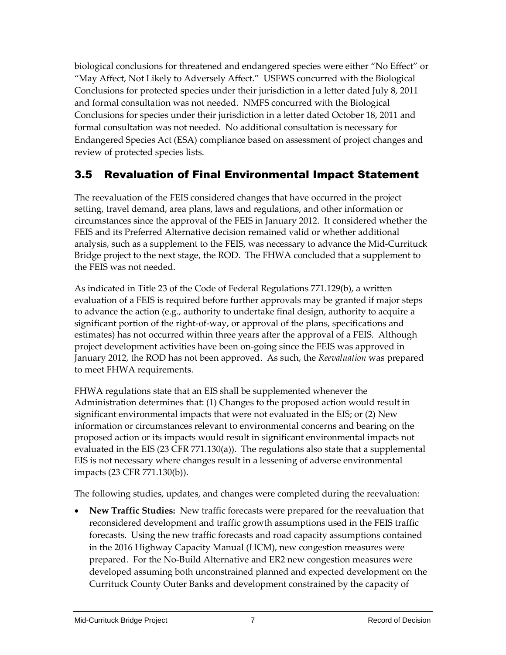biological conclusions for threatened and endangered species were either "No Effect" or "May Affect, Not Likely to Adversely Affect." USFWS concurred with the Biological Conclusions for protected species under their jurisdiction in a letter dated July 8, 2011 and formal consultation was not needed. NMFS concurred with the Biological Conclusions for species under their jurisdiction in a letter dated October 18, 2011 and formal consultation was not needed. No additional consultation is necessary for Endangered Species Act (ESA) compliance based on assessment of project changes and review of protected species lists.

# 3.5 Revaluation of Final Environmental Impact Statement

The reevaluation of the FEIS considered changes that have occurred in the project setting, travel demand, area plans, laws and regulations, and other information or circumstances since the approval of the FEIS in January 2012. It considered whether the FEIS and its Preferred Alternative decision remained valid or whether additional analysis, such as a supplement to the FEIS, was necessary to advance the Mid-Currituck Bridge project to the next stage, the ROD. The FHWA concluded that a supplement to the FEIS was not needed.

As indicated in Title 23 of the Code of Federal Regulations 771.129(b), a written evaluation of a FEIS is required before further approvals may be granted if major steps to advance the action (e.g., authority to undertake final design, authority to acquire a significant portion of the right-of-way, or approval of the plans, specifications and estimates) has not occurred within three years after the approval of a FEIS. Although project development activities have been on-going since the FEIS was approved in January 2012, the ROD has not been approved. As such, the *Reevaluation* was prepared to meet FHWA requirements.

FHWA regulations state that an EIS shall be supplemented whenever the Administration determines that: (1) Changes to the proposed action would result in significant environmental impacts that were not evaluated in the EIS; or (2) New information or circumstances relevant to environmental concerns and bearing on the proposed action or its impacts would result in significant environmental impacts not evaluated in the EIS (23 CFR 771.130(a)). The regulations also state that a supplemental EIS is not necessary where changes result in a lessening of adverse environmental impacts (23 CFR 771.130(b)).

The following studies, updates, and changes were completed during the reevaluation:

• **New Traffic Studies:** New traffic forecasts were prepared for the reevaluation that reconsidered development and traffic growth assumptions used in the FEIS traffic forecasts. Using the new traffic forecasts and road capacity assumptions contained in the 2016 Highway Capacity Manual (HCM), new congestion measures were prepared. For the No-Build Alternative and ER2 new congestion measures were developed assuming both unconstrained planned and expected development on the Currituck County Outer Banks and development constrained by the capacity of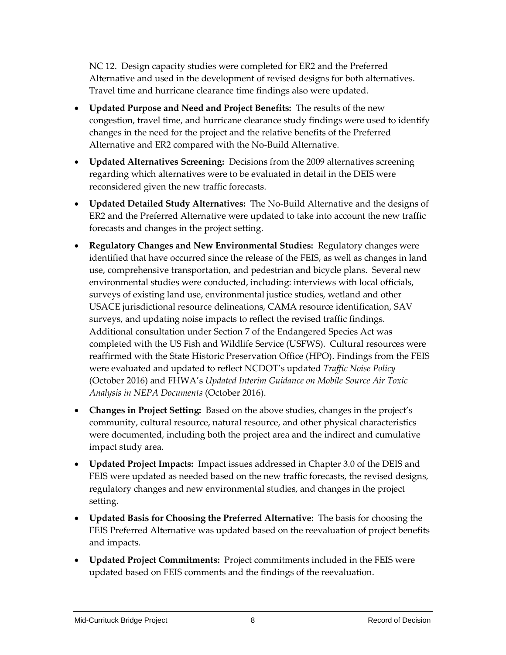NC 12. Design capacity studies were completed for ER2 and the Preferred Alternative and used in the development of revised designs for both alternatives. Travel time and hurricane clearance time findings also were updated.

- **Updated Purpose and Need and Project Benefits:** The results of the new congestion, travel time, and hurricane clearance study findings were used to identify changes in the need for the project and the relative benefits of the Preferred Alternative and ER2 compared with the No-Build Alternative.
- **Updated Alternatives Screening:** Decisions from the 2009 alternatives screening regarding which alternatives were to be evaluated in detail in the DEIS were reconsidered given the new traffic forecasts.
- **Updated Detailed Study Alternatives:** The No-Build Alternative and the designs of ER2 and the Preferred Alternative were updated to take into account the new traffic forecasts and changes in the project setting.
- **Regulatory Changes and New Environmental Studies:** Regulatory changes were identified that have occurred since the release of the FEIS, as well as changes in land use, comprehensive transportation, and pedestrian and bicycle plans. Several new environmental studies were conducted, including: interviews with local officials, surveys of existing land use, environmental justice studies, wetland and other USACE jurisdictional resource delineations, CAMA resource identification, SAV surveys, and updating noise impacts to reflect the revised traffic findings. Additional consultation under Section 7 of the Endangered Species Act was completed with the US Fish and Wildlife Service (USFWS). Cultural resources were reaffirmed with the State Historic Preservation Office (HPO). Findings from the FEIS were evaluated and updated to reflect NCDOT's updated *Traffic Noise Policy*  (October 2016) and FHWA's *Updated Interim Guidance on Mobile Source Air Toxic Analysis in NEPA Documents* (October 2016).
- **Changes in Project Setting:** Based on the above studies, changes in the project's community, cultural resource, natural resource, and other physical characteristics were documented, including both the project area and the indirect and cumulative impact study area.
- **Updated Project Impacts:** Impact issues addressed in Chapter 3.0 of the DEIS and FEIS were updated as needed based on the new traffic forecasts, the revised designs, regulatory changes and new environmental studies, and changes in the project setting.
- **Updated Basis for Choosing the Preferred Alternative:** The basis for choosing the FEIS Preferred Alternative was updated based on the reevaluation of project benefits and impacts.
- **Updated Project Commitments:** Project commitments included in the FEIS were updated based on FEIS comments and the findings of the reevaluation.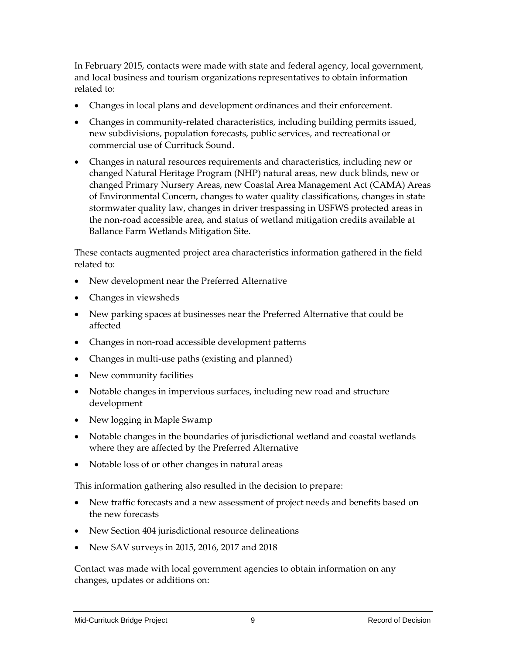In February 2015, contacts were made with state and federal agency, local government, and local business and tourism organizations representatives to obtain information related to:

- Changes in local plans and development ordinances and their enforcement.
- Changes in community-related characteristics, including building permits issued, new subdivisions, population forecasts, public services, and recreational or commercial use of Currituck Sound.
- Changes in natural resources requirements and characteristics, including new or changed Natural Heritage Program (NHP) natural areas, new duck blinds, new or changed Primary Nursery Areas, new Coastal Area Management Act (CAMA) Areas of Environmental Concern, changes to water quality classifications, changes in state stormwater quality law, changes in driver trespassing in USFWS protected areas in the non-road accessible area, and status of wetland mitigation credits available at Ballance Farm Wetlands Mitigation Site.

These contacts augmented project area characteristics information gathered in the field related to:

- New development near the Preferred Alternative
- Changes in viewsheds
- New parking spaces at businesses near the Preferred Alternative that could be affected
- Changes in non-road accessible development patterns
- Changes in multi-use paths (existing and planned)
- New community facilities
- Notable changes in impervious surfaces, including new road and structure development
- New logging in Maple Swamp
- Notable changes in the boundaries of jurisdictional wetland and coastal wetlands where they are affected by the Preferred Alternative
- Notable loss of or other changes in natural areas

This information gathering also resulted in the decision to prepare:

- New traffic forecasts and a new assessment of project needs and benefits based on the new forecasts
- New Section 404 jurisdictional resource delineations
- New SAV surveys in 2015, 2016, 2017 and 2018

Contact was made with local government agencies to obtain information on any changes, updates or additions on: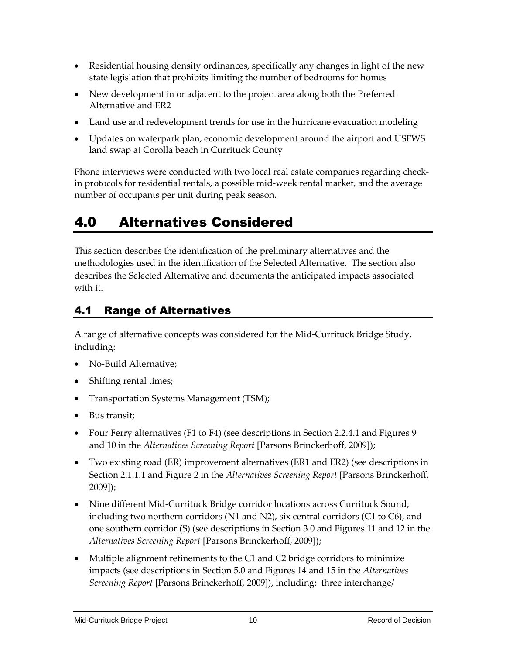- Residential housing density ordinances, specifically any changes in light of the new state legislation that prohibits limiting the number of bedrooms for homes
- New development in or adjacent to the project area along both the Preferred Alternative and ER2
- Land use and redevelopment trends for use in the hurricane evacuation modeling
- Updates on waterpark plan, economic development around the airport and USFWS land swap at Corolla beach in Currituck County

Phone interviews were conducted with two local real estate companies regarding checkin protocols for residential rentals, a possible mid-week rental market, and the average number of occupants per unit during peak season.

# <span id="page-13-0"></span>4.0 Alternatives Considered

This section describes the identification of the preliminary alternatives and the methodologies used in the identification of the Selected Alternative. The section also describes the Selected Alternative and documents the anticipated impacts associated with it.

# 4.1 Range of Alternatives

A range of alternative concepts was considered for the Mid-Currituck Bridge Study, including:

- No-Build Alternative;
- Shifting rental times;
- Transportation Systems Management (TSM);
- Bus transit;
- Four Ferry alternatives (F1 to F4) (see descriptions in Section 2.2.4.1 and Figures 9 and 10 in the *Alternatives Screening Report* [Parsons Brinckerhoff, 2009]);
- Two existing road (ER) improvement alternatives (ER1 and ER2) (see descriptions in Section 2.1.1.1 and Figure 2 in the *Alternatives Screening Report* [Parsons Brinckerhoff, 2009]);
- Nine different Mid-Currituck Bridge corridor locations across Currituck Sound, including two northern corridors (N1 and N2), six central corridors (C1 to C6), and one southern corridor (S) (see descriptions in Section 3.0 and Figures 11 and 12 in the *Alternatives Screening Report* [Parsons Brinckerhoff, 2009]);
- Multiple alignment refinements to the C1 and C2 bridge corridors to minimize impacts (see descriptions in Section 5.0 and Figures 14 and 15 in the *Alternatives Screening Report* [Parsons Brinckerhoff, 2009]), including: three interchange/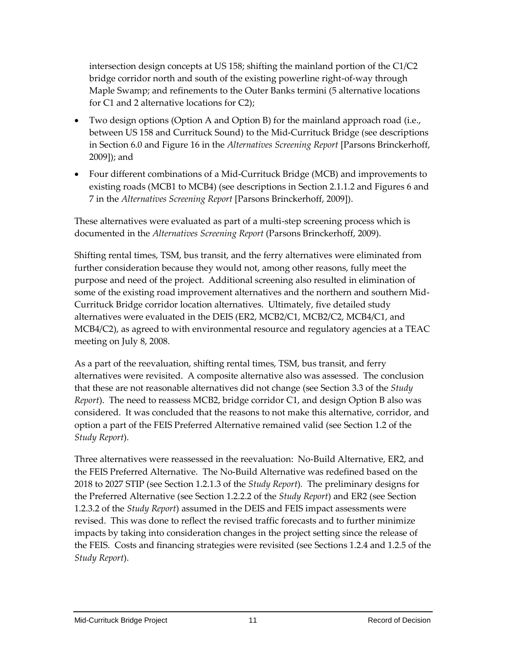intersection design concepts at US 158; shifting the mainland portion of the C1/C2 bridge corridor north and south of the existing powerline right-of-way through Maple Swamp; and refinements to the Outer Banks termini (5 alternative locations for C1 and 2 alternative locations for C2);

- Two design options (Option A and Option B) for the mainland approach road (i.e., between US 158 and Currituck Sound) to the Mid-Currituck Bridge (see descriptions in Section 6.0 and Figure 16 in the *Alternatives Screening Report* [Parsons Brinckerhoff, 2009]); and
- Four different combinations of a Mid-Currituck Bridge (MCB) and improvements to existing roads (MCB1 to MCB4) (see descriptions in Section 2.1.1.2 and Figures 6 and 7 in the *Alternatives Screening Report* [Parsons Brinckerhoff, 2009]).

These alternatives were evaluated as part of a multi-step screening process which is documented in the *Alternatives Screening Report* (Parsons Brinckerhoff, 2009).

Shifting rental times, TSM, bus transit, and the ferry alternatives were eliminated from further consideration because they would not, among other reasons, fully meet the purpose and need of the project. Additional screening also resulted in elimination of some of the existing road improvement alternatives and the northern and southern Mid-Currituck Bridge corridor location alternatives. Ultimately, five detailed study alternatives were evaluated in the DEIS (ER2, MCB2/C1, MCB2/C2, MCB4/C1, and MCB4/C2), as agreed to with environmental resource and regulatory agencies at a TEAC meeting on July 8, 2008.

As a part of the reevaluation, shifting rental times, TSM, bus transit, and ferry alternatives were revisited. A composite alternative also was assessed. The conclusion that these are not reasonable alternatives did not change (see Section 3.3 of the *Study Report*). The need to reassess MCB2, bridge corridor C1, and design Option B also was considered. It was concluded that the reasons to not make this alternative, corridor, and option a part of the FEIS Preferred Alternative remained valid (see Section 1.2 of the *Study Report*).

Three alternatives were reassessed in the reevaluation: No-Build Alternative, ER2, and the FEIS Preferred Alternative. The No-Build Alternative was redefined based on the 2018 to 2027 STIP (see Section 1.2.1.3 of the *Study Report*)*.* The preliminary designs for the Preferred Alternative (see Section 1.2.2.2 of the *Study Report*) and ER2 (see Section 1.2.3.2 of the *Study Report*) assumed in the DEIS and FEIS impact assessments were revised. This was done to reflect the revised traffic forecasts and to further minimize impacts by taking into consideration changes in the project setting since the release of the FEIS. Costs and financing strategies were revisited (see Sections 1.2.4 and 1.2.5 of the *Study Report*).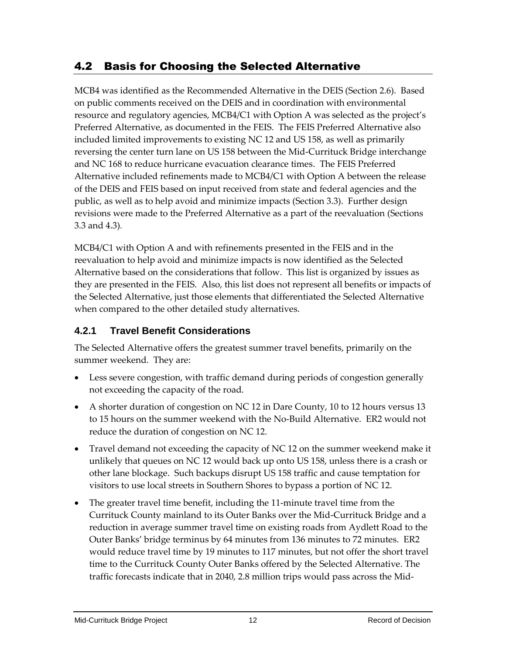### 4.2 Basis for Choosing the Selected Alternative

MCB4 was identified as the Recommended Alternative in the DEIS (Section 2.6). Based on public comments received on the DEIS and in coordination with environmental resource and regulatory agencies, MCB4/C1 with Option A was selected as the project's Preferred Alternative, as documented in the FEIS. The FEIS Preferred Alternative also included limited improvements to existing NC 12 and US 158, as well as primarily reversing the center turn lane on US 158 between the Mid-Currituck Bridge interchange and NC 168 to reduce hurricane evacuation clearance times. The FEIS Preferred Alternative included refinements made to MCB4/C1 with Option A between the release of the DEIS and FEIS based on input received from state and federal agencies and the public, as well as to help avoid and minimize impacts (Section [3.3\)](#page-7-0). Further design revisions were made to the Preferred Alternative as a part of the reevaluation (Sections [3.3](#page-7-0) and [4.3\)](#page-18-0)*.* 

MCB4/C1 with Option A and with refinements presented in the FEIS and in the reevaluation to help avoid and minimize impacts is now identified as the Selected Alternative based on the considerations that follow. This list is organized by issues as they are presented in the FEIS. Also, this list does not represent all benefits or impacts of the Selected Alternative, just those elements that differentiated the Selected Alternative when compared to the other detailed study alternatives.

#### **4.2.1 Travel Benefit Considerations**

The Selected Alternative offers the greatest summer travel benefits, primarily on the summer weekend. They are:

- Less severe congestion, with traffic demand during periods of congestion generally not exceeding the capacity of the road.
- A shorter duration of congestion on NC 12 in Dare County, 10 to 12 hours versus 13 to 15 hours on the summer weekend with the No-Build Alternative. ER2 would not reduce the duration of congestion on NC 12.
- Travel demand not exceeding the capacity of NC 12 on the summer weekend make it unlikely that queues on NC 12 would back up onto US 158, unless there is a crash or other lane blockage. Such backups disrupt US 158 traffic and cause temptation for visitors to use local streets in Southern Shores to bypass a portion of NC 12.
- The greater travel time benefit, including the 11-minute travel time from the Currituck County mainland to its Outer Banks over the Mid-Currituck Bridge and a reduction in average summer travel time on existing roads from Aydlett Road to the Outer Banks' bridge terminus by 64 minutes from 136 minutes to 72 minutes. ER2 would reduce travel time by 19 minutes to 117 minutes, but not offer the short travel time to the Currituck County Outer Banks offered by the Selected Alternative. The traffic forecasts indicate that in 2040, 2.8 million trips would pass across the Mid-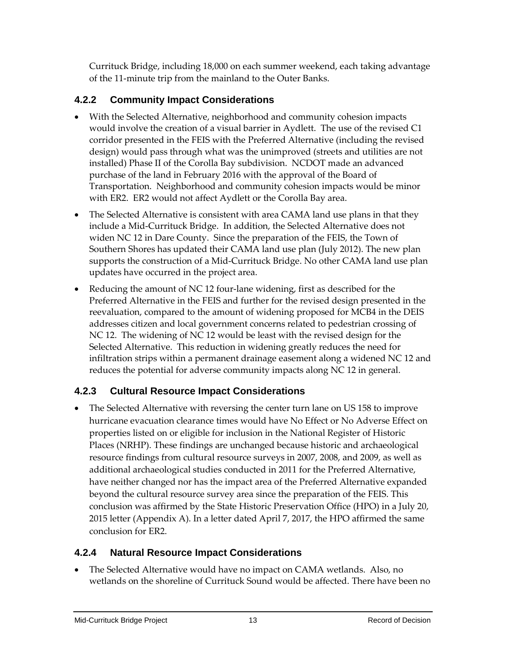Currituck Bridge, including 18,000 on each summer weekend, each taking advantage of the 11-minute trip from the mainland to the Outer Banks.

### **4.2.2 Community Impact Considerations**

- With the Selected Alternative, neighborhood and community cohesion impacts would involve the creation of a visual barrier in Aydlett. The use of the revised C1 corridor presented in the FEIS with the Preferred Alternative (including the revised design) would pass through what was the unimproved (streets and utilities are not installed) Phase II of the Corolla Bay subdivision. NCDOT made an advanced purchase of the land in February 2016 with the approval of the Board of Transportation. Neighborhood and community cohesion impacts would be minor with ER2. ER2 would not affect Aydlett or the Corolla Bay area.
- The Selected Alternative is consistent with area CAMA land use plans in that they include a Mid-Currituck Bridge. In addition, the Selected Alternative does not widen NC 12 in Dare County. Since the preparation of the FEIS, the Town of Southern Shores has updated their CAMA land use plan (July 2012). The new plan supports the construction of a Mid-Currituck Bridge. No other CAMA land use plan updates have occurred in the project area.
- Reducing the amount of NC 12 four-lane widening, first as described for the Preferred Alternative in the FEIS and further for the revised design presented in the reevaluation, compared to the amount of widening proposed for MCB4 in the DEIS addresses citizen and local government concerns related to pedestrian crossing of NC 12. The widening of NC 12 would be least with the revised design for the Selected Alternative. This reduction in widening greatly reduces the need for infiltration strips within a permanent drainage easement along a widened NC 12 and reduces the potential for adverse community impacts along NC 12 in general.

#### **4.2.3 Cultural Resource Impact Considerations**

• The Selected Alternative with reversing the center turn lane on US 158 to improve hurricane evacuation clearance times would have No Effect or No Adverse Effect on properties listed on or eligible for inclusion in the National Register of Historic Places (NRHP). These findings are unchanged because historic and archaeological resource findings from cultural resource surveys in 2007, 2008, and 2009, as well as additional archaeological studies conducted in 2011 for the Preferred Alternative, have neither changed nor has the impact area of the Preferred Alternative expanded beyond the cultural resource survey area since the preparation of the FEIS. This conclusion was affirmed by the State Historic Preservation Office (HPO) in a July 20, 2015 letter (Appendix A). In a letter dated April 7, 2017, the HPO affirmed the same conclusion for ER2.

#### **4.2.4 Natural Resource Impact Considerations**

• The Selected Alternative would have no impact on CAMA wetlands. Also, no wetlands on the shoreline of Currituck Sound would be affected. There have been no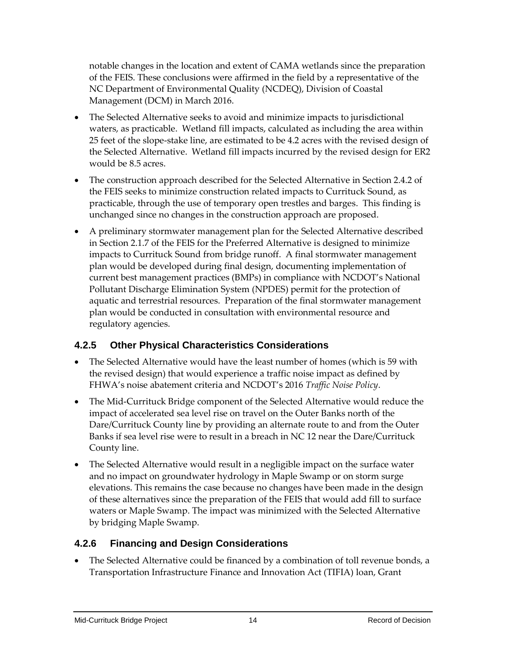notable changes in the location and extent of CAMA wetlands since the preparation of the FEIS. These conclusions were affirmed in the field by a representative of the NC Department of Environmental Quality (NCDEQ), Division of Coastal Management (DCM) in March 2016.

- The Selected Alternative seeks to avoid and minimize impacts to jurisdictional waters, as practicable. Wetland fill impacts, calculated as including the area within 25 feet of the slope-stake line, are estimated to be 4.2 acres with the revised design of the Selected Alternative. Wetland fill impacts incurred by the revised design for ER2 would be 8.5 acres.
- The construction approach described for the Selected Alternative in Section 2.4.2 of the FEIS seeks to minimize construction related impacts to Currituck Sound, as practicable, through the use of temporary open trestles and barges. This finding is unchanged since no changes in the construction approach are proposed.
- A preliminary stormwater management plan for the Selected Alternative described in Section 2.1.7 of the FEIS for the Preferred Alternative is designed to minimize impacts to Currituck Sound from bridge runoff. A final stormwater management plan would be developed during final design, documenting implementation of current best management practices (BMPs) in compliance with NCDOT's National Pollutant Discharge Elimination System (NPDES) permit for the protection of aquatic and terrestrial resources. Preparation of the final stormwater management plan would be conducted in consultation with environmental resource and regulatory agencies.

### **4.2.5 Other Physical Characteristics Considerations**

- The Selected Alternative would have the least number of homes (which is 59 with the revised design) that would experience a traffic noise impact as defined by FHWA's noise abatement criteria and NCDOT's 2016 *Traffic Noise Policy*.
- The Mid-Currituck Bridge component of the Selected Alternative would reduce the impact of accelerated sea level rise on travel on the Outer Banks north of the Dare/Currituck County line by providing an alternate route to and from the Outer Banks if sea level rise were to result in a breach in NC 12 near the Dare/Currituck County line.
- The Selected Alternative would result in a negligible impact on the surface water and no impact on groundwater hydrology in Maple Swamp or on storm surge elevations. This remains the case because no changes have been made in the design of these alternatives since the preparation of the FEIS that would add fill to surface waters or Maple Swamp. The impact was minimized with the Selected Alternative by bridging Maple Swamp.

### **4.2.6 Financing and Design Considerations**

• The Selected Alternative could be financed by a combination of toll revenue bonds, a Transportation Infrastructure Finance and Innovation Act (TIFIA) loan, Grant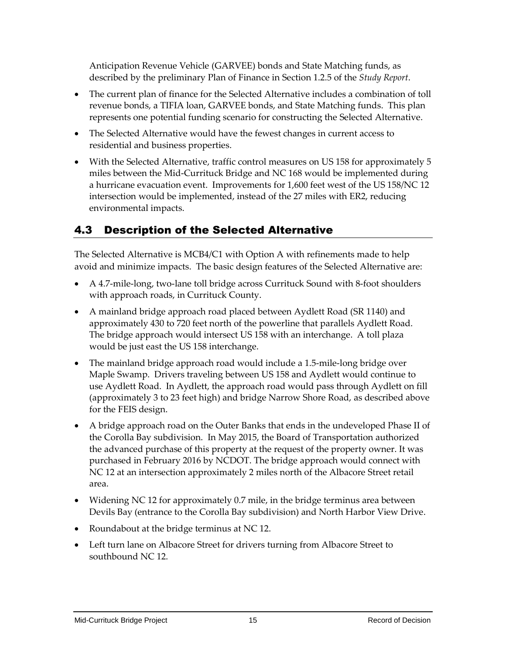Anticipation Revenue Vehicle (GARVEE) bonds and State Matching funds, as described by the preliminary Plan of Finance in Section 1.2.5 of the *Study Report*.

- The current plan of finance for the Selected Alternative includes a combination of toll revenue bonds, a TIFIA loan, GARVEE bonds, and State Matching funds. This plan represents one potential funding scenario for constructing the Selected Alternative.
- The Selected Alternative would have the fewest changes in current access to residential and business properties.
- With the Selected Alternative, traffic control measures on US 158 for approximately 5 miles between the Mid-Currituck Bridge and NC 168 would be implemented during a hurricane evacuation event. Improvements for 1,600 feet west of the US 158/NC 12 intersection would be implemented, instead of the 27 miles with ER2, reducing environmental impacts.

# <span id="page-18-0"></span>4.3 Description of the Selected Alternative

The Selected Alternative is MCB4/C1 with Option A with refinements made to help avoid and minimize impacts. The basic design features of the Selected Alternative are:

- A 4.7-mile-long, two-lane toll bridge across Currituck Sound with 8-foot shoulders with approach roads, in Currituck County.
- A mainland bridge approach road placed between Aydlett Road (SR 1140) and approximately 430 to 720 feet north of the powerline that parallels Aydlett Road. The bridge approach would intersect US 158 with an interchange. A toll plaza would be just east the US 158 interchange.
- The mainland bridge approach road would include a 1.5-mile-long bridge over Maple Swamp. Drivers traveling between US 158 and Aydlett would continue to use Aydlett Road. In Aydlett, the approach road would pass through Aydlett on fill (approximately 3 to 23 feet high) and bridge Narrow Shore Road, as described above for the FEIS design.
- A bridge approach road on the Outer Banks that ends in the undeveloped Phase II of the Corolla Bay subdivision. In May 2015, the Board of Transportation authorized the advanced purchase of this property at the request of the property owner. It was purchased in February 2016 by NCDOT. The bridge approach would connect with NC 12 at an intersection approximately 2 miles north of the Albacore Street retail area.
- Widening NC 12 for approximately 0.7 mile, in the bridge terminus area between Devils Bay (entrance to the Corolla Bay subdivision) and North Harbor View Drive.
- Roundabout at the bridge terminus at NC 12.
- Left turn lane on Albacore Street for drivers turning from Albacore Street to southbound NC 12.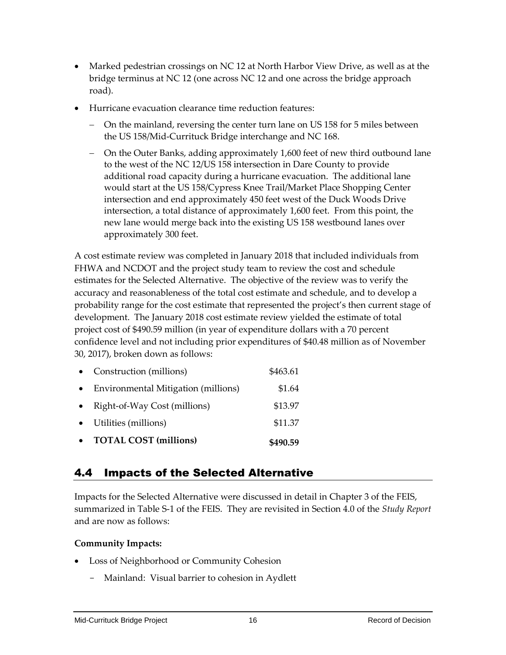- Marked pedestrian crossings on NC 12 at North Harbor View Drive, as well as at the bridge terminus at NC 12 (one across NC 12 and one across the bridge approach road).
- Hurricane evacuation clearance time reduction features:
	- On the mainland, reversing the center turn lane on US 158 for 5 miles between the US 158/Mid-Currituck Bridge interchange and NC 168.
	- On the Outer Banks, adding approximately 1,600 feet of new third outbound lane to the west of the NC 12/US 158 intersection in Dare County to provide additional road capacity during a hurricane evacuation. The additional lane would start at the US 158/Cypress Knee Trail/Market Place Shopping Center intersection and end approximately 450 feet west of the Duck Woods Drive intersection, a total distance of approximately 1,600 feet. From this point, the new lane would merge back into the existing US 158 westbound lanes over approximately 300 feet.

A cost estimate review was completed in January 2018 that included individuals from FHWA and NCDOT and the project study team to review the cost and schedule estimates for the Selected Alternative. The objective of the review was to verify the accuracy and reasonableness of the total cost estimate and schedule, and to develop a probability range for the cost estimate that represented the project's then current stage of development. The January 2018 cost estimate review yielded the estimate of total project cost of \$490.59 million (in year of expenditure dollars with a 70 percent confidence level and not including prior expenditures of \$40.48 million as of November 30, 2017), broken down as follows:

| Construction (millions)             | \$463.61 |
|-------------------------------------|----------|
| Environmental Mitigation (millions) | \$1.64   |
| Right-of-Way Cost (millions)        | \$13.97  |
| • Utilities (millions)              | \$11.37  |
| <b>TOTAL COST (millions)</b>        | \$490.59 |

# 4.4 Impacts of the Selected Alternative

Impacts for the Selected Alternative were discussed in detail in Chapter 3 of the FEIS, summarized in Table S-1 of the FEIS. They are revisited in Section 4.0 of the *Study Report* and are now as follows:

#### **Community Impacts:**

- Loss of Neighborhood or Community Cohesion
	- Mainland: Visual barrier to cohesion in Aydlett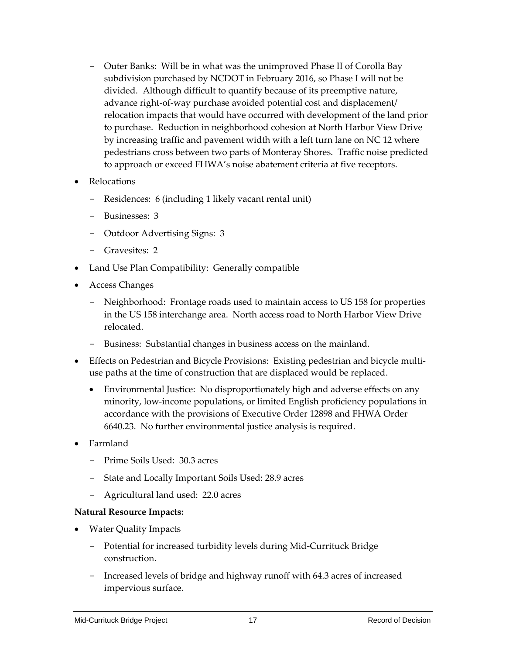- Outer Banks: Will be in what was the unimproved Phase II of Corolla Bay subdivision purchased by NCDOT in February 2016, so Phase I will not be divided. Although difficult to quantify because of its preemptive nature, advance right-of-way purchase avoided potential cost and displacement/ relocation impacts that would have occurred with development of the land prior to purchase. Reduction in neighborhood cohesion at North Harbor View Drive by increasing traffic and pavement width with a left turn lane on NC 12 where pedestrians cross between two parts of Monteray Shores. Traffic noise predicted to approach or exceed FHWA's noise abatement criteria at five receptors.
- Relocations
	- Residences: 6 (including 1 likely vacant rental unit)
	- Businesses: 3
	- Outdoor Advertising Signs: 3
	- Gravesites: 2
- Land Use Plan Compatibility: Generally compatible
- Access Changes
	- Neighborhood: Frontage roads used to maintain access to US 158 for properties in the US 158 interchange area. North access road to North Harbor View Drive relocated.
	- Business: Substantial changes in business access on the mainland.
- Effects on Pedestrian and Bicycle Provisions: Existing pedestrian and bicycle multiuse paths at the time of construction that are displaced would be replaced.
	- Environmental Justice: No disproportionately high and adverse effects on any minority, low-income populations, or limited English proficiency populations in accordance with the provisions of Executive Order 12898 and FHWA Order 6640.23. No further environmental justice analysis is required.
- Farmland
	- Prime Soils Used: 30.3 acres
	- State and Locally Important Soils Used: 28.9 acres
	- Agricultural land used: 22.0 acres

#### **Natural Resource Impacts:**

- Water Quality Impacts
	- Potential for increased turbidity levels during Mid-Currituck Bridge construction.
	- Increased levels of bridge and highway runoff with 64.3 acres of increased impervious surface.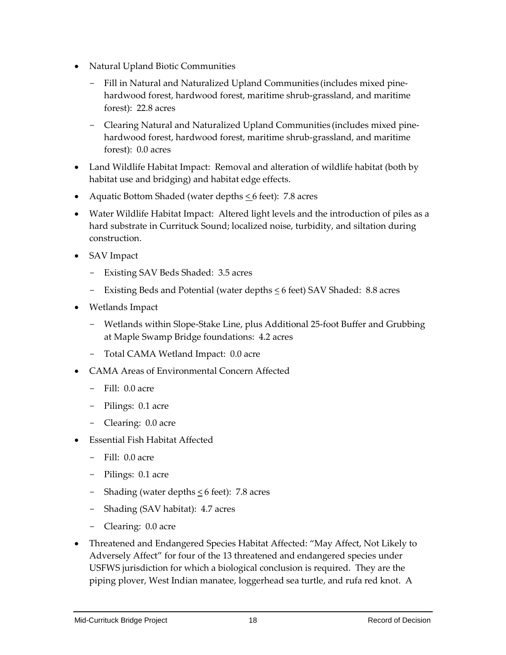- Natural Upland Biotic Communities
	- Fill in Natural and Naturalized Upland Communities (includes mixed pinehardwood forest, hardwood forest, maritime shrub-grassland, and maritime forest): 22.8 acres
	- Clearing Natural and Naturalized Upland Communities (includes mixed pinehardwood forest, hardwood forest, maritime shrub-grassland, and maritime forest): 0.0 acres
- Land Wildlife Habitat Impact: Removal and alteration of wildlife habitat (both by habitat use and bridging) and habitat edge effects.
- Aquatic Bottom Shaded (water depths  $\leq$  6 feet): 7.8 acres
- Water Wildlife Habitat Impact: Altered light levels and the introduction of piles as a hard substrate in Currituck Sound; localized noise, turbidity, and siltation during construction.
- SAV Impact
	- Existing SAV Beds Shaded: 3.5 acres
	- Existing Beds and Potential (water depths < 6 feet) SAV Shaded: 8.8 acres
- Wetlands Impact
	- Wetlands within Slope-Stake Line, plus Additional 25-foot Buffer and Grubbing at Maple Swamp Bridge foundations: 4.2 acres
	- Total CAMA Wetland Impact: 0.0 acre
- CAMA Areas of Environmental Concern Affected
	- Fill: 0.0 acre
	- Pilings: 0.1 acre
	- Clearing: 0.0 acre
- Essential Fish Habitat Affected
	- $-$  Fill: 0.0 acre
	- Pilings: 0.1 acre
	- Shading (water depths  $\leq 6$  feet): 7.8 acres
	- Shading (SAV habitat): 4.7 acres
	- Clearing: 0.0 acre
- Threatened and Endangered Species Habitat Affected: "May Affect, Not Likely to Adversely Affect" for four of the 13 threatened and endangered species under USFWS jurisdiction for which a biological conclusion is required. They are the piping plover, West Indian manatee, loggerhead sea turtle, and rufa red knot. A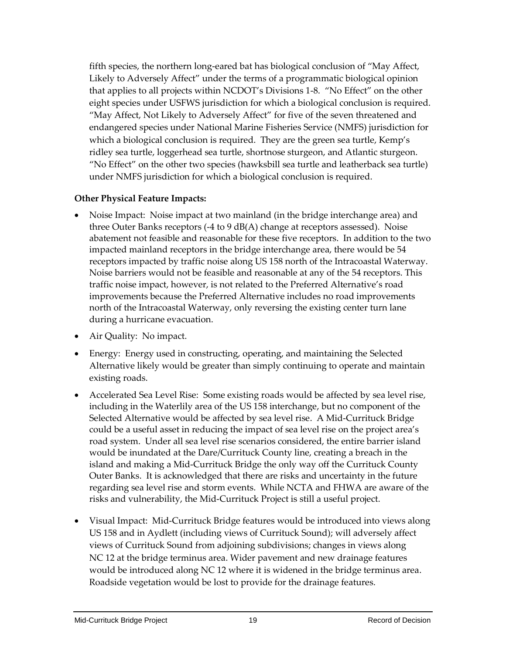fifth species, the northern long-eared bat has biological conclusion of "May Affect, Likely to Adversely Affect" under the terms of a programmatic biological opinion that applies to all projects within NCDOT's Divisions 1-8. "No Effect" on the other eight species under USFWS jurisdiction for which a biological conclusion is required. "May Affect, Not Likely to Adversely Affect" for five of the seven threatened and endangered species under National Marine Fisheries Service (NMFS) jurisdiction for which a biological conclusion is required. They are the green sea turtle, Kemp's ridley sea turtle, loggerhead sea turtle, shortnose sturgeon, and Atlantic sturgeon. "No Effect" on the other two species (hawksbill sea turtle and leatherback sea turtle) under NMFS jurisdiction for which a biological conclusion is required.

#### **Other Physical Feature Impacts:**

- Noise Impact: Noise impact at two mainland (in the bridge interchange area) and three Outer Banks receptors (-4 to 9 dB(A) change at receptors assessed). Noise abatement not feasible and reasonable for these five receptors. In addition to the two impacted mainland receptors in the bridge interchange area, there would be 54 receptors impacted by traffic noise along US 158 north of the Intracoastal Waterway. Noise barriers would not be feasible and reasonable at any of the 54 receptors. This traffic noise impact, however, is not related to the Preferred Alternative's road improvements because the Preferred Alternative includes no road improvements north of the Intracoastal Waterway, only reversing the existing center turn lane during a hurricane evacuation.
- Air Quality: No impact.
- Energy: Energy used in constructing, operating, and maintaining the Selected Alternative likely would be greater than simply continuing to operate and maintain existing roads.
- Accelerated Sea Level Rise: Some existing roads would be affected by sea level rise, including in the Waterlily area of the US 158 interchange, but no component of the Selected Alternative would be affected by sea level rise. A Mid-Currituck Bridge could be a useful asset in reducing the impact of sea level rise on the project area's road system. Under all sea level rise scenarios considered, the entire barrier island would be inundated at the Dare/Currituck County line, creating a breach in the island and making a Mid-Currituck Bridge the only way off the Currituck County Outer Banks. It is acknowledged that there are risks and uncertainty in the future regarding sea level rise and storm events. While NCTA and FHWA are aware of the risks and vulnerability, the Mid-Currituck Project is still a useful project.
- Visual Impact: Mid-Currituck Bridge features would be introduced into views along US 158 and in Aydlett (including views of Currituck Sound); will adversely affect views of Currituck Sound from adjoining subdivisions; changes in views along NC 12 at the bridge terminus area. Wider pavement and new drainage features would be introduced along NC 12 where it is widened in the bridge terminus area. Roadside vegetation would be lost to provide for the drainage features.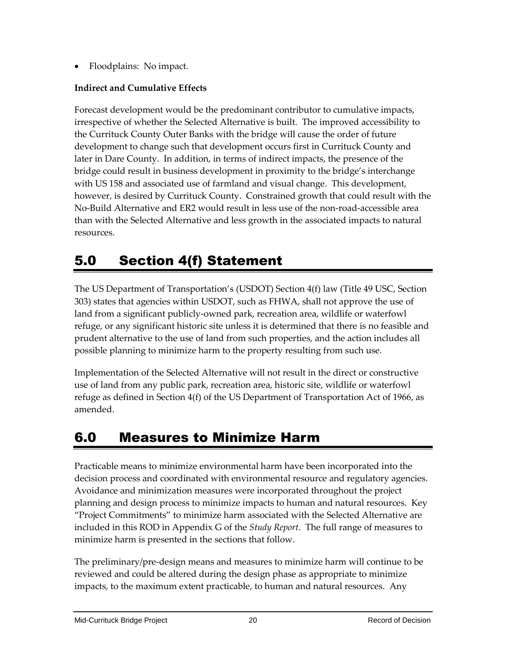• Floodplains: No impact.

#### **Indirect and Cumulative Effects**

Forecast development would be the predominant contributor to cumulative impacts, irrespective of whether the Selected Alternative is built. The improved accessibility to the Currituck County Outer Banks with the bridge will cause the order of future development to change such that development occurs first in Currituck County and later in Dare County. In addition, in terms of indirect impacts, the presence of the bridge could result in business development in proximity to the bridge's interchange with US 158 and associated use of farmland and visual change. This development, however, is desired by Currituck County. Constrained growth that could result with the No-Build Alternative and ER2 would result in less use of the non-road-accessible area than with the Selected Alternative and less growth in the associated impacts to natural resources.

# 5.0 Section 4(f) Statement

The US Department of Transportation's (USDOT) Section 4(f) law (Title 49 USC, Section 303) states that agencies within USDOT, such as FHWA, shall not approve the use of land from a significant publicly-owned park, recreation area, wildlife or waterfowl refuge, or any significant historic site unless it is determined that there is no feasible and prudent alternative to the use of land from such properties, and the action includes all possible planning to minimize harm to the property resulting from such use.

Implementation of the Selected Alternative will not result in the direct or constructive use of land from any public park, recreation area, historic site, wildlife or waterfowl refuge as defined in Section  $4(f)$  of the US Department of Transportation Act of 1966, as amended.

# <span id="page-23-0"></span>6.0 Measures to Minimize Harm

Practicable means to minimize environmental harm have been incorporated into the decision process and coordinated with environmental resource and regulatory agencies. Avoidance and minimization measures were incorporated throughout the project planning and design process to minimize impacts to human and natural resources. Key "Project Commitments" to minimize harm associated with the Selected Alternative are included in this ROD in Appendix G of the *Study Report*. The full range of measures to minimize harm is presented in the sections that follow.

The preliminary/pre-design means and measures to minimize harm will continue to be reviewed and could be altered during the design phase as appropriate to minimize impacts, to the maximum extent practicable, to human and natural resources. Any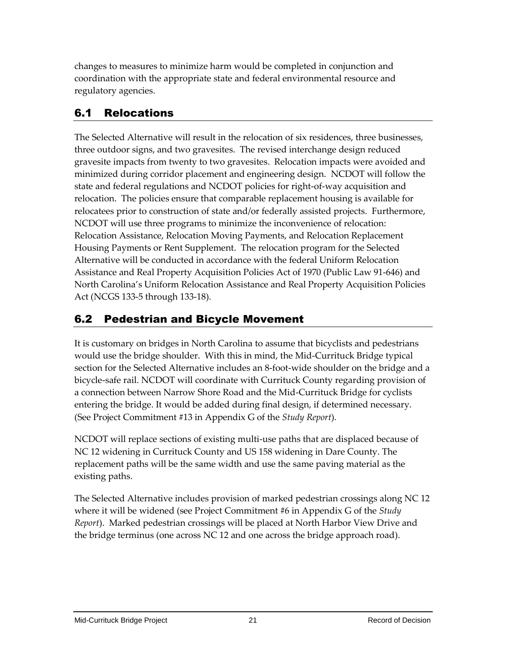changes to measures to minimize harm would be completed in conjunction and coordination with the appropriate state and federal environmental resource and regulatory agencies.

## 6.1 Relocations

The Selected Alternative will result in the relocation of six residences, three businesses, three outdoor signs, and two gravesites. The revised interchange design reduced gravesite impacts from twenty to two gravesites. Relocation impacts were avoided and minimized during corridor placement and engineering design. NCDOT will follow the state and federal regulations and NCDOT policies for right-of-way acquisition and relocation. The policies ensure that comparable replacement housing is available for relocatees prior to construction of state and/or federally assisted projects. Furthermore, NCDOT will use three programs to minimize the inconvenience of relocation: Relocation Assistance, Relocation Moving Payments, and Relocation Replacement Housing Payments or Rent Supplement. The relocation program for the Selected Alternative will be conducted in accordance with the federal Uniform Relocation Assistance and Real Property Acquisition Policies Act of 1970 (Public Law 91-646) and North Carolina's Uniform Relocation Assistance and Real Property Acquisition Policies Act (NCGS 133-5 through 133-18).

### 6.2 Pedestrian and Bicycle Movement

It is customary on bridges in North Carolina to assume that bicyclists and pedestrians would use the bridge shoulder. With this in mind, the Mid-Currituck Bridge typical section for the Selected Alternative includes an 8-foot-wide shoulder on the bridge and a bicycle-safe rail. NCDOT will coordinate with Currituck County regarding provision of a connection between Narrow Shore Road and the Mid-Currituck Bridge for cyclists entering the bridge. It would be added during final design, if determined necessary. (See Project Commitment #13 in Appendix G of the *Study Report*).

NCDOT will replace sections of existing multi-use paths that are displaced because of NC 12 widening in Currituck County and US 158 widening in Dare County. The replacement paths will be the same width and use the same paving material as the existing paths.

The Selected Alternative includes provision of marked pedestrian crossings along NC 12 where it will be widened (see Project Commitment #6 in Appendix G of the *Study Report*). Marked pedestrian crossings will be placed at North Harbor View Drive and the bridge terminus (one across NC 12 and one across the bridge approach road).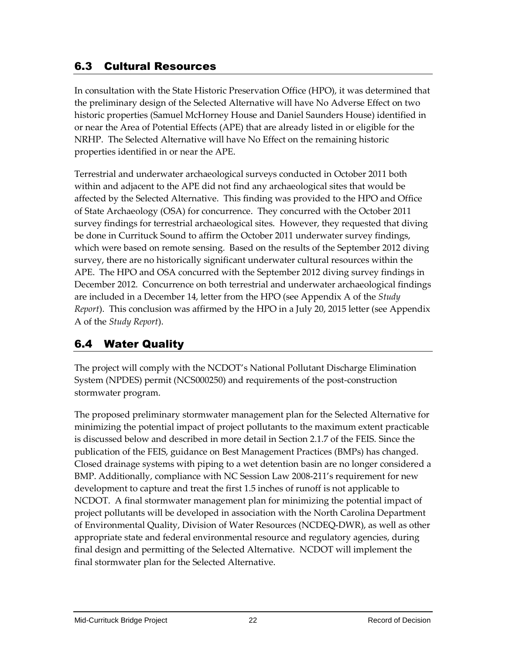### 6.3 Cultural Resources

In consultation with the State Historic Preservation Office (HPO), it was determined that the preliminary design of the Selected Alternative will have No Adverse Effect on two historic properties (Samuel McHorney House and Daniel Saunders House) identified in or near the Area of Potential Effects (APE) that are already listed in or eligible for the NRHP. The Selected Alternative will have No Effect on the remaining historic properties identified in or near the APE.

Terrestrial and underwater archaeological surveys conducted in October 2011 both within and adjacent to the APE did not find any archaeological sites that would be affected by the Selected Alternative. This finding was provided to the HPO and Office of State Archaeology (OSA) for concurrence. They concurred with the October 2011 survey findings for terrestrial archaeological sites. However, they requested that diving be done in Currituck Sound to affirm the October 2011 underwater survey findings, which were based on remote sensing. Based on the results of the September 2012 diving survey, there are no historically significant underwater cultural resources within the APE. The HPO and OSA concurred with the September 2012 diving survey findings in December 2012. Concurrence on both terrestrial and underwater archaeological findings are included in a December 14, letter from the HPO (see Appendix A of the *Study Report*). This conclusion was affirmed by the HPO in a July 20, 2015 letter (see Appendix A of the *Study Report*).

### <span id="page-25-0"></span>6.4 Water Quality

The project will comply with the NCDOT's National Pollutant Discharge Elimination System (NPDES) permit (NCS000250) and requirements of the post-construction stormwater program.

The proposed preliminary stormwater management plan for the Selected Alternative for minimizing the potential impact of project pollutants to the maximum extent practicable is discussed below and described in more detail in Section 2.1.7 of the FEIS. Since the publication of the FEIS, guidance on Best Management Practices (BMPs) has changed. Closed drainage systems with piping to a wet detention basin are no longer considered a BMP. Additionally, compliance with NC Session Law 2008-211's requirement for new development to capture and treat the first 1.5 inches of runoff is not applicable to NCDOT. A final stormwater management plan for minimizing the potential impact of project pollutants will be developed in association with the North Carolina Department of Environmental Quality, Division of Water Resources (NCDEQ-DWR), as well as other appropriate state and federal environmental resource and regulatory agencies, during final design and permitting of the Selected Alternative. NCDOT will implement the final stormwater plan for the Selected Alternative.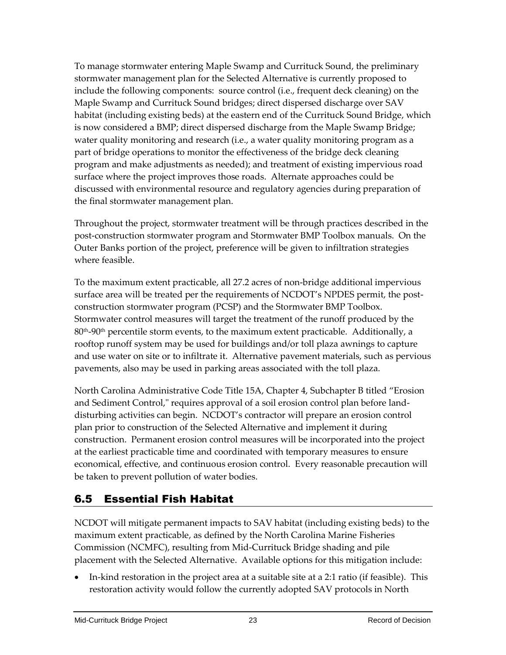To manage stormwater entering Maple Swamp and Currituck Sound, the preliminary stormwater management plan for the Selected Alternative is currently proposed to include the following components: source control (i.e., frequent deck cleaning) on the Maple Swamp and Currituck Sound bridges; direct dispersed discharge over SAV habitat (including existing beds) at the eastern end of the Currituck Sound Bridge, which is now considered a BMP; direct dispersed discharge from the Maple Swamp Bridge; water quality monitoring and research (i.e., a water quality monitoring program as a part of bridge operations to monitor the effectiveness of the bridge deck cleaning program and make adjustments as needed); and treatment of existing impervious road surface where the project improves those roads. Alternate approaches could be discussed with environmental resource and regulatory agencies during preparation of the final stormwater management plan.

Throughout the project, stormwater treatment will be through practices described in the post-construction stormwater program and Stormwater BMP Toolbox manuals. On the Outer Banks portion of the project, preference will be given to infiltration strategies where feasible.

To the maximum extent practicable, all 27.2 acres of non-bridge additional impervious surface area will be treated per the requirements of NCDOT's NPDES permit, the postconstruction stormwater program (PCSP) and the Stormwater BMP Toolbox. Stormwater control measures will target the treatment of the runoff produced by the 80<sup>th</sup>-90<sup>th</sup> percentile storm events, to the maximum extent practicable. Additionally, a rooftop runoff system may be used for buildings and/or toll plaza awnings to capture and use water on site or to infiltrate it. Alternative pavement materials, such as pervious pavements, also may be used in parking areas associated with the toll plaza.

North Carolina Administrative Code Title 15A, Chapter 4, Subchapter B titled "Erosion and Sediment Control," requires approval of a soil erosion control plan before landdisturbing activities can begin. NCDOT's contractor will prepare an erosion control plan prior to construction of the Selected Alternative and implement it during construction. Permanent erosion control measures will be incorporated into the project at the earliest practicable time and coordinated with temporary measures to ensure economical, effective, and continuous erosion control. Every reasonable precaution will be taken to prevent pollution of water bodies.

# <span id="page-26-0"></span>6.5 Essential Fish Habitat

NCDOT will mitigate permanent impacts to SAV habitat (including existing beds) to the maximum extent practicable, as defined by the North Carolina Marine Fisheries Commission (NCMFC), resulting from Mid-Currituck Bridge shading and pile placement with the Selected Alternative. Available options for this mitigation include:

• In-kind restoration in the project area at a suitable site at a 2:1 ratio (if feasible). This restoration activity would follow the currently adopted SAV protocols in North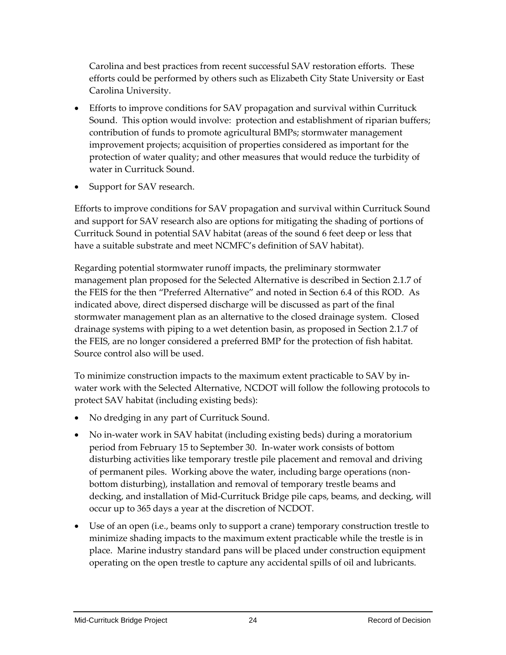Carolina and best practices from recent successful SAV restoration efforts. These efforts could be performed by others such as Elizabeth City State University or East Carolina University.

- Efforts to improve conditions for SAV propagation and survival within Currituck Sound. This option would involve: protection and establishment of riparian buffers; contribution of funds to promote agricultural BMPs; stormwater management improvement projects; acquisition of properties considered as important for the protection of water quality; and other measures that would reduce the turbidity of water in Currituck Sound.
- Support for SAV research.

Efforts to improve conditions for SAV propagation and survival within Currituck Sound and support for SAV research also are options for mitigating the shading of portions of Currituck Sound in potential SAV habitat (areas of the sound 6 feet deep or less that have a suitable substrate and meet NCMFC's definition of SAV habitat).

Regarding potential stormwater runoff impacts, the preliminary stormwater management plan proposed for the Selected Alternative is described in Section 2.1.7 of the FEIS for the then "Preferred Alternative" and noted in Section [6.4](#page-25-0) of this ROD. As indicated above, direct dispersed discharge will be discussed as part of the final stormwater management plan as an alternative to the closed drainage system. Closed drainage systems with piping to a wet detention basin, as proposed in Section 2.1.7 of the FEIS, are no longer considered a preferred BMP for the protection of fish habitat. Source control also will be used.

To minimize construction impacts to the maximum extent practicable to SAV by inwater work with the Selected Alternative, NCDOT will follow the following protocols to protect SAV habitat (including existing beds):

- No dredging in any part of Currituck Sound.
- No in-water work in SAV habitat (including existing beds) during a moratorium period from February 15 to September 30. In-water work consists of bottom disturbing activities like temporary trestle pile placement and removal and driving of permanent piles. Working above the water, including barge operations (nonbottom disturbing), installation and removal of temporary trestle beams and decking, and installation of Mid-Currituck Bridge pile caps, beams, and decking, will occur up to 365 days a year at the discretion of NCDOT.
- Use of an open (i.e., beams only to support a crane) temporary construction trestle to minimize shading impacts to the maximum extent practicable while the trestle is in place. Marine industry standard pans will be placed under construction equipment operating on the open trestle to capture any accidental spills of oil and lubricants.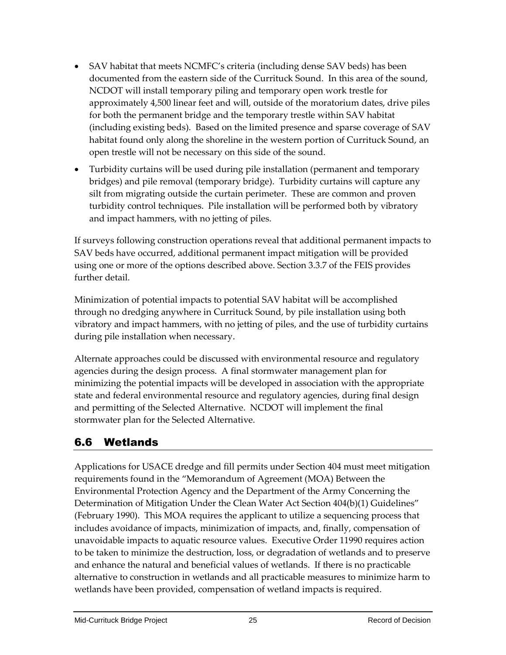- SAV habitat that meets NCMFC's criteria (including dense SAV beds) has been documented from the eastern side of the Currituck Sound. In this area of the sound, NCDOT will install temporary piling and temporary open work trestle for approximately 4,500 linear feet and will, outside of the moratorium dates, drive piles for both the permanent bridge and the temporary trestle within SAV habitat (including existing beds). Based on the limited presence and sparse coverage of SAV habitat found only along the shoreline in the western portion of Currituck Sound, an open trestle will not be necessary on this side of the sound.
- Turbidity curtains will be used during pile installation (permanent and temporary bridges) and pile removal (temporary bridge). Turbidity curtains will capture any silt from migrating outside the curtain perimeter. These are common and proven turbidity control techniques. Pile installation will be performed both by vibratory and impact hammers, with no jetting of piles.

If surveys following construction operations reveal that additional permanent impacts to SAV beds have occurred, additional permanent impact mitigation will be provided using one or more of the options described above. Section 3.3.7 of the FEIS provides further detail.

Minimization of potential impacts to potential SAV habitat will be accomplished through no dredging anywhere in Currituck Sound, by pile installation using both vibratory and impact hammers, with no jetting of piles, and the use of turbidity curtains during pile installation when necessary.

Alternate approaches could be discussed with environmental resource and regulatory agencies during the design process. A final stormwater management plan for minimizing the potential impacts will be developed in association with the appropriate state and federal environmental resource and regulatory agencies, during final design and permitting of the Selected Alternative. NCDOT will implement the final stormwater plan for the Selected Alternative.

# 6.6 Wetlands

Applications for USACE dredge and fill permits under Section 404 must meet mitigation requirements found in the "Memorandum of Agreement (MOA) Between the Environmental Protection Agency and the Department of the Army Concerning the Determination of Mitigation Under the Clean Water Act Section 404(b)(1) Guidelines" (February 1990). This MOA requires the applicant to utilize a sequencing process that includes avoidance of impacts, minimization of impacts, and, finally, compensation of unavoidable impacts to aquatic resource values. Executive Order 11990 requires action to be taken to minimize the destruction, loss, or degradation of wetlands and to preserve and enhance the natural and beneficial values of wetlands. If there is no practicable alternative to construction in wetlands and all practicable measures to minimize harm to wetlands have been provided, compensation of wetland impacts is required.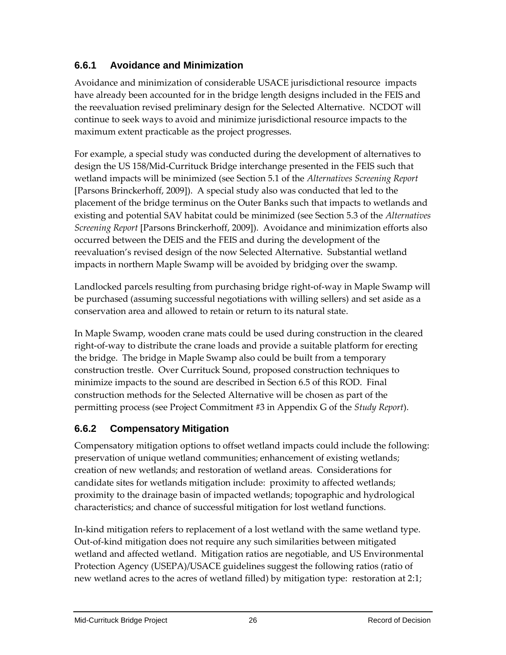### **6.6.1 Avoidance and Minimization**

Avoidance and minimization of considerable USACE jurisdictional resource impacts have already been accounted for in the bridge length designs included in the FEIS and the reevaluation revised preliminary design for the Selected Alternative. NCDOT will continue to seek ways to avoid and minimize jurisdictional resource impacts to the maximum extent practicable as the project progresses.

For example, a special study was conducted during the development of alternatives to design the US 158/Mid-Currituck Bridge interchange presented in the FEIS such that wetland impacts will be minimized (see Section 5.1 of the *Alternatives Screening Report*  [Parsons Brinckerhoff, 2009]). A special study also was conducted that led to the placement of the bridge terminus on the Outer Banks such that impacts to wetlands and existing and potential SAV habitat could be minimized (see Section 5.3 of the *Alternatives Screening Report* [Parsons Brinckerhoff, 2009]). Avoidance and minimization efforts also occurred between the DEIS and the FEIS and during the development of the reevaluation's revised design of the now Selected Alternative. Substantial wetland impacts in northern Maple Swamp will be avoided by bridging over the swamp.

Landlocked parcels resulting from purchasing bridge right-of-way in Maple Swamp will be purchased (assuming successful negotiations with willing sellers) and set aside as a conservation area and allowed to retain or return to its natural state.

In Maple Swamp, wooden crane mats could be used during construction in the cleared right-of-way to distribute the crane loads and provide a suitable platform for erecting the bridge. The bridge in Maple Swamp also could be built from a temporary construction trestle. Over Currituck Sound, proposed construction techniques to minimize impacts to the sound are described in Section [6.5](#page-26-0) of this ROD. Final construction methods for the Selected Alternative will be chosen as part of the permitting process (see Project Commitment #3 in Appendix G of the *Study Report*).

### **6.6.2 Compensatory Mitigation**

Compensatory mitigation options to offset wetland impacts could include the following: preservation of unique wetland communities; enhancement of existing wetlands; creation of new wetlands; and restoration of wetland areas. Considerations for candidate sites for wetlands mitigation include: proximity to affected wetlands; proximity to the drainage basin of impacted wetlands; topographic and hydrological characteristics; and chance of successful mitigation for lost wetland functions.

In-kind mitigation refers to replacement of a lost wetland with the same wetland type. Out-of-kind mitigation does not require any such similarities between mitigated wetland and affected wetland. Mitigation ratios are negotiable, and US Environmental Protection Agency (USEPA)/USACE guidelines suggest the following ratios (ratio of new wetland acres to the acres of wetland filled) by mitigation type: restoration at 2:1;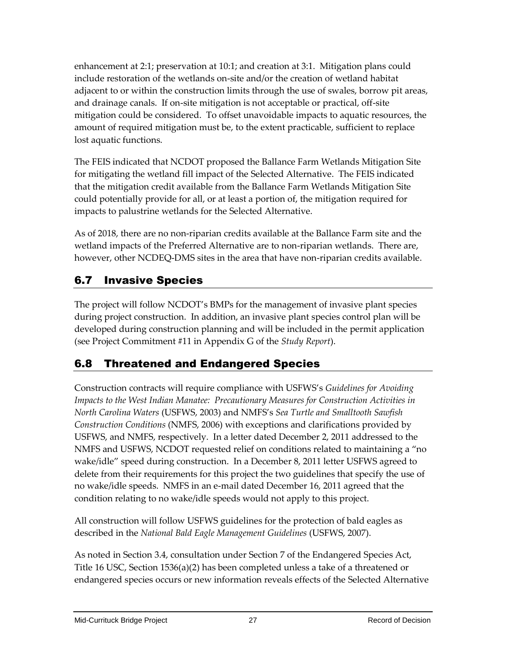enhancement at 2:1; preservation at 10:1; and creation at 3:1. Mitigation plans could include restoration of the wetlands on-site and/or the creation of wetland habitat adjacent to or within the construction limits through the use of swales, borrow pit areas, and drainage canals. If on-site mitigation is not acceptable or practical, off-site mitigation could be considered. To offset unavoidable impacts to aquatic resources, the amount of required mitigation must be, to the extent practicable, sufficient to replace lost aquatic functions.

The FEIS indicated that NCDOT proposed the Ballance Farm Wetlands Mitigation Site for mitigating the wetland fill impact of the Selected Alternative. The FEIS indicated that the mitigation credit available from the Ballance Farm Wetlands Mitigation Site could potentially provide for all, or at least a portion of, the mitigation required for impacts to palustrine wetlands for the Selected Alternative.

As of 2018, there are no non-riparian credits available at the Ballance Farm site and the wetland impacts of the Preferred Alternative are to non-riparian wetlands. There are, however, other NCDEQ-DMS sites in the area that have non-riparian credits available.

# 6.7 Invasive Species

The project will follow NCDOT's BMPs for the management of invasive plant species during project construction. In addition, an invasive plant species control plan will be developed during construction planning and will be included in the permit application (see Project Commitment #11 in Appendix G of the *Study Report*).

### 6.8 Threatened and Endangered Species

Construction contracts will require compliance with USFWS's *Guidelines for Avoiding Impacts to the West Indian Manatee: Precautionary Measures for Construction Activities in North Carolina Waters* (USFWS, 2003) and NMFS's *Sea Turtle and Smalltooth Sawfish Construction Conditions* (NMFS, 2006) with exceptions and clarifications provided by USFWS, and NMFS, respectively. In a letter dated December 2, 2011 addressed to the NMFS and USFWS, NCDOT requested relief on conditions related to maintaining a "no wake/idle" speed during construction. In a December 8, 2011 letter USFWS agreed to delete from their requirements for this project the two guidelines that specify the use of no wake/idle speeds. NMFS in an e-mail dated December 16, 2011 agreed that the condition relating to no wake/idle speeds would not apply to this project.

All construction will follow USFWS guidelines for the protection of bald eagles as described in the *National Bald Eagle Management Guidelines* (USFWS, 2007).

As noted in Section [3.4,](#page-9-0) consultation under Section 7 of the Endangered Species Act, Title 16 USC, Section 1536(a)(2) has been completed unless a take of a threatened or endangered species occurs or new information reveals effects of the Selected Alternative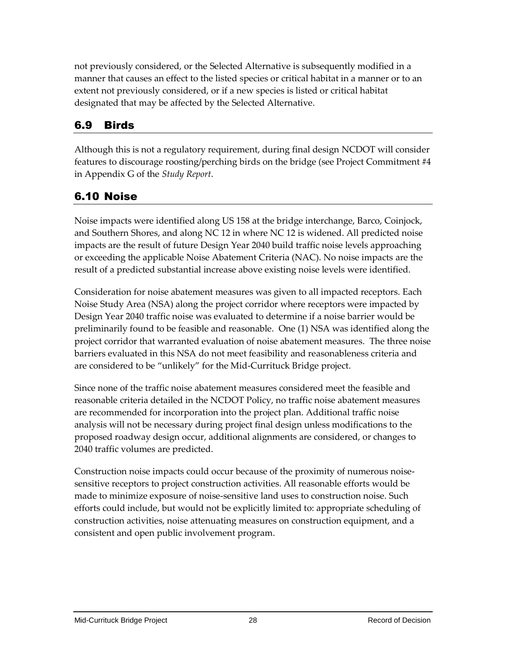not previously considered, or the Selected Alternative is subsequently modified in a manner that causes an effect to the listed species or critical habitat in a manner or to an extent not previously considered, or if a new species is listed or critical habitat designated that may be affected by the Selected Alternative.

### 6.9 Birds

Although this is not a regulatory requirement, during final design NCDOT will consider features to discourage roosting/perching birds on the bridge (see Project Commitment #4 in Appendix G of the *Study Report*.

# 6.10 Noise

Noise impacts were identified along US 158 at the bridge interchange, Barco, Coinjock, and Southern Shores, and along NC 12 in where NC 12 is widened. All predicted noise impacts are the result of future Design Year 2040 build traffic noise levels approaching or exceeding the applicable Noise Abatement Criteria (NAC). No noise impacts are the result of a predicted substantial increase above existing noise levels were identified.

Consideration for noise abatement measures was given to all impacted receptors. Each Noise Study Area (NSA) along the project corridor where receptors were impacted by Design Year 2040 traffic noise was evaluated to determine if a noise barrier would be preliminarily found to be feasible and reasonable. One (1) NSA was identified along the project corridor that warranted evaluation of noise abatement measures. The three noise barriers evaluated in this NSA do not meet feasibility and reasonableness criteria and are considered to be "unlikely" for the Mid-Currituck Bridge project.

Since none of the traffic noise abatement measures considered meet the feasible and reasonable criteria detailed in the NCDOT Policy, no traffic noise abatement measures are recommended for incorporation into the project plan. Additional traffic noise analysis will not be necessary during project final design unless modifications to the proposed roadway design occur, additional alignments are considered, or changes to 2040 traffic volumes are predicted.

Construction noise impacts could occur because of the proximity of numerous noisesensitive receptors to project construction activities. All reasonable efforts would be made to minimize exposure of noise-sensitive land uses to construction noise. Such efforts could include, but would not be explicitly limited to: appropriate scheduling of construction activities, noise attenuating measures on construction equipment, and a consistent and open public involvement program.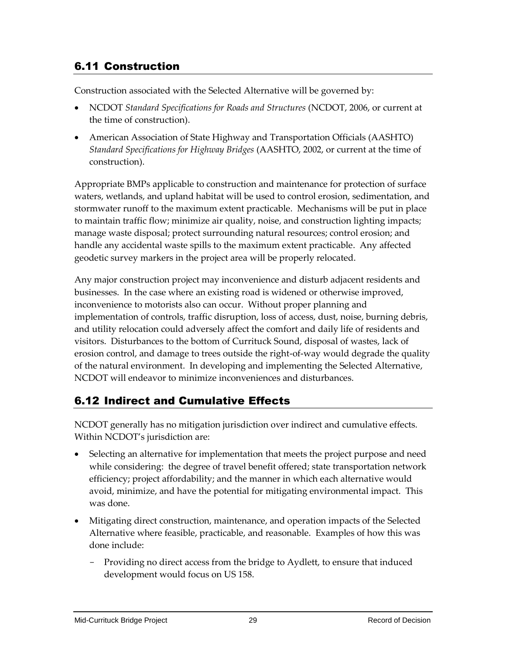## 6.11 Construction

Construction associated with the Selected Alternative will be governed by:

- NCDOT *Standard Specifications for Roads and Structures* (NCDOT, 2006, or current at the time of construction).
- American Association of State Highway and Transportation Officials (AASHTO) *Standard Specifications for Highway Bridges* (AASHTO, 2002, or current at the time of construction).

Appropriate BMPs applicable to construction and maintenance for protection of surface waters, wetlands, and upland habitat will be used to control erosion, sedimentation, and stormwater runoff to the maximum extent practicable. Mechanisms will be put in place to maintain traffic flow; minimize air quality, noise, and construction lighting impacts; manage waste disposal; protect surrounding natural resources; control erosion; and handle any accidental waste spills to the maximum extent practicable. Any affected geodetic survey markers in the project area will be properly relocated.

Any major construction project may inconvenience and disturb adjacent residents and businesses. In the case where an existing road is widened or otherwise improved, inconvenience to motorists also can occur. Without proper planning and implementation of controls, traffic disruption, loss of access, dust, noise, burning debris, and utility relocation could adversely affect the comfort and daily life of residents and visitors. Disturbances to the bottom of Currituck Sound, disposal of wastes, lack of erosion control, and damage to trees outside the right-of-way would degrade the quality of the natural environment. In developing and implementing the Selected Alternative, NCDOT will endeavor to minimize inconveniences and disturbances.

### 6.12 Indirect and Cumulative Effects

NCDOT generally has no mitigation jurisdiction over indirect and cumulative effects. Within NCDOT's jurisdiction are:

- Selecting an alternative for implementation that meets the project purpose and need while considering: the degree of travel benefit offered; state transportation network efficiency; project affordability; and the manner in which each alternative would avoid, minimize, and have the potential for mitigating environmental impact. This was done.
- Mitigating direct construction, maintenance, and operation impacts of the Selected Alternative where feasible, practicable, and reasonable. Examples of how this was done include:
	- Providing no direct access from the bridge to Aydlett, to ensure that induced development would focus on US 158.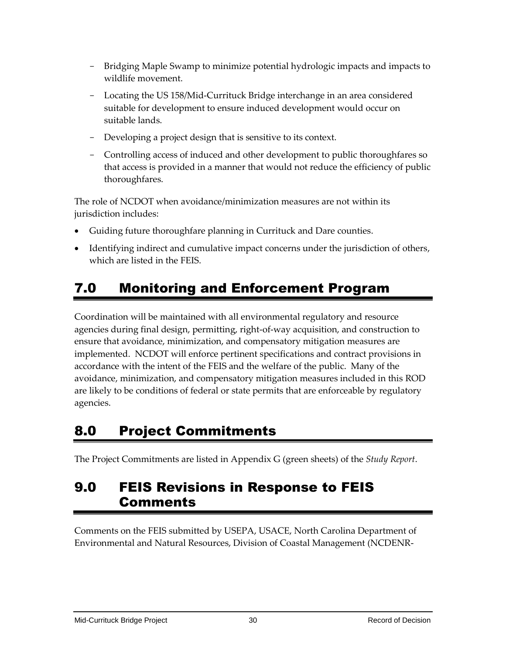- Bridging Maple Swamp to minimize potential hydrologic impacts and impacts to wildlife movement.
- Locating the US 158/Mid-Currituck Bridge interchange in an area considered suitable for development to ensure induced development would occur on suitable lands.
- Developing a project design that is sensitive to its context.
- Controlling access of induced and other development to public thoroughfares so that access is provided in a manner that would not reduce the efficiency of public thoroughfares.

The role of NCDOT when avoidance/minimization measures are not within its jurisdiction includes:

- Guiding future thoroughfare planning in Currituck and Dare counties.
- Identifying indirect and cumulative impact concerns under the jurisdiction of others, which are listed in the FEIS.

# <span id="page-33-0"></span>7.0 Monitoring and Enforcement Program

Coordination will be maintained with all environmental regulatory and resource agencies during final design, permitting, right-of-way acquisition, and construction to ensure that avoidance, minimization, and compensatory mitigation measures are implemented. NCDOT will enforce pertinent specifications and contract provisions in accordance with the intent of the FEIS and the welfare of the public. Many of the avoidance, minimization, and compensatory mitigation measures included in this ROD are likely to be conditions of federal or state permits that are enforceable by regulatory agencies.

# 8.0 Project Commitments

The Project Commitments are listed in Appendix G (green sheets) of the *Study Report*.

# 9.0 FEIS Revisions in Response to FEIS Comments

Comments on the FEIS submitted by USEPA, USACE, North Carolina Department of Environmental and Natural Resources, Division of Coastal Management (NCDENR-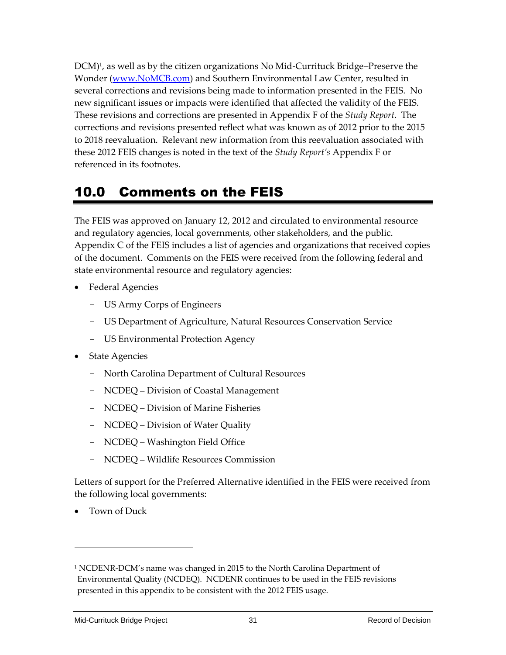DCM)<sup>1</sup> , as well as by the citizen organizations No Mid-Currituck Bridge–Preserve the Wonder [\(www.NoMCB.com\)](http://www.nomcb.com/) and Southern Environmental Law Center, resulted in several corrections and revisions being made to information presented in the FEIS. No new significant issues or impacts were identified that affected the validity of the FEIS. These revisions and corrections are presented in Appendix F of the *Study Report*. The corrections and revisions presented reflect what was known as of 2012 prior to the 2015 to 2018 reevaluation. Relevant new information from this reevaluation associated with these 2012 FEIS changes is noted in the text of the *Study Report's* Appendix F or referenced in its footnotes.

# 10.0 Comments on the FEIS

The FEIS was approved on January 12, 2012 and circulated to environmental resource and regulatory agencies, local governments, other stakeholders, and the public. Appendix C of the FEIS includes a list of agencies and organizations that received copies of the document. Comments on the FEIS were received from the following federal and state environmental resource and regulatory agencies:

- Federal Agencies
	- US Army Corps of Engineers
	- US Department of Agriculture, Natural Resources Conservation Service
	- US Environmental Protection Agency
- State Agencies
	- North Carolina Department of Cultural Resources
	- NCDEQ Division of Coastal Management
	- NCDEQ Division of Marine Fisheries
	- NCDEQ Division of Water Quality
	- NCDEQ Washington Field Office
	- NCDEQ Wildlife Resources Commission

Letters of support for the Preferred Alternative identified in the FEIS were received from the following local governments:

• Town of Duck

 $\overline{a}$ 

<sup>&</sup>lt;sup>1</sup> NCDENR-DCM's name was changed in 2015 to the North Carolina Department of Environmental Quality (NCDEQ). NCDENR continues to be used in the FEIS revisions presented in this appendix to be consistent with the 2012 FEIS usage.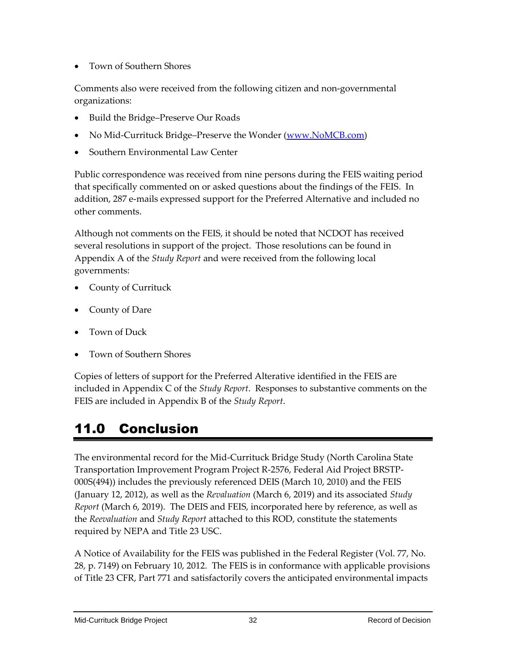• Town of Southern Shores

Comments also were received from the following citizen and non-governmental organizations:

- Build the Bridge–Preserve Our Roads
- No Mid-Currituck Bridge–Preserve the Wonder [\(www.NoMCB.com\)](http://www.nomcb.com/)
- Southern Environmental Law Center

Public correspondence was received from nine persons during the FEIS waiting period that specifically commented on or asked questions about the findings of the FEIS. In addition, 287 e-mails expressed support for the Preferred Alternative and included no other comments.

Although not comments on the FEIS, it should be noted that NCDOT has received several resolutions in support of the project. Those resolutions can be found in Appendix A of the *Study Report* and were received from the following local governments:

- County of Currituck
- County of Dare
- Town of Duck
- Town of Southern Shores

Copies of letters of support for the Preferred Alterative identified in the FEIS are included in Appendix C of the *Study Report*. Responses to substantive comments on the FEIS are included in Appendix B of the *Study Report*.

# 11.0 Conclusion

The environmental record for the Mid-Currituck Bridge Study (North Carolina State Transportation Improvement Program Project R-2576, Federal Aid Project BRSTP-000S(494)) includes the previously referenced DEIS (March 10, 2010) and the FEIS (January 12, 2012), as well as the *Revaluation* (March 6, 2019) and its associated *Study Report* (March 6, 2019). The DEIS and FEIS, incorporated here by reference, as well as the *Reevaluation* and *Study Report* attached to this ROD, constitute the statements required by NEPA and Title 23 USC.

A Notice of Availability for the FEIS was published in the Federal Register (Vol. 77, No. 28, p. 7149) on February 10, 2012. The FEIS is in conformance with applicable provisions of Title 23 CFR, Part 771 and satisfactorily covers the anticipated environmental impacts